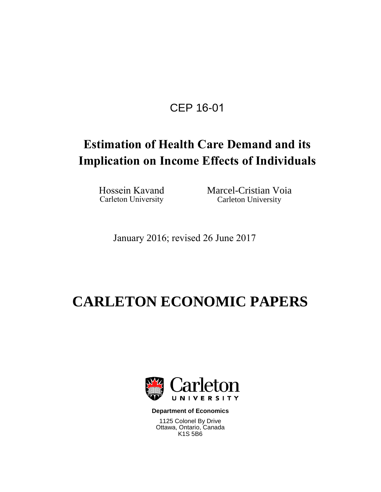# CEP 16-01

# **Estimation of Health Care Demand and its Implication on Income Effects of Individuals**

Hossein Kavand<br>
Carleton University<br>
Carleton University<br>
Carleton University Carleton University

January 2016; revised 26 June 2017

# **CARLETON ECONOMIC PAPERS**



**Department of Economics**

1125 Colonel By Drive Ottawa, Ontario, Canada K1S 5B6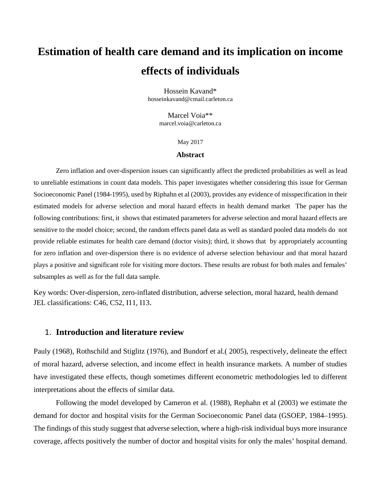# **Estimation of health care demand and its implication on income effects of individuals**

Hossein Kavand\* hosseinkavand@cmail.carleton.ca

> Marcel Voia\*\* [marcel.voia@carleton.ca](mailto:marcel.voia@carleton.ca)

> > May 2017

#### **Abstract**

Zero inflation and over-dispersion issues can significantly affect the predicted probabilities as well as lead to unreliable estimations in count data models. This paper investigates whether considering this issue for German Socioeconomic Panel (1984-1995), used by Riphahn et al (2003), provides any evidence of misspecification in their estimated models for adverse selection and moral hazard effects in health demand market The paper has the following contributions: first, it shows that estimated parameters for adverse selection and moral hazard effects are sensitive to the model choice; second, the random effects panel data as well as standard pooled data models do not provide reliable estimates for health care demand (doctor visits); third, it shows that by appropriately accounting for zero inflation and over-dispersion there is no evidence of adverse selection behaviour and that moral hazard plays a positive and significant role for visiting more doctors. These results are robust for both males and females' subsamples as well as for the full data sample.

Key words: Over-dispersion, zero-inflated distribution, adverse selection, moral hazard, health demand JEL classifications: C46, C52, I11, I13.

# 1. **Introduction and literature review**

Pauly (1968), Rothschild and Stiglitz (1976), and Bundorf et al.( 2005), respectively, delineate the effect of moral hazard, adverse selection, and income effect in health insurance markets. A number of studies have investigated these effects, though sometimes different econometric methodologies led to different interpretations about the effects of similar data.

Following the model developed by Cameron et al. (1988), Rephahn et al (2003) we estimate the demand for doctor and hospital visits for the German Socioeconomic Panel data (GSOEP, 1984–1995). The findings of this study suggest that adverse selection, where a high-risk individual buys more insurance coverage, affects positively the number of doctor and hospital visits for only the males' hospital demand.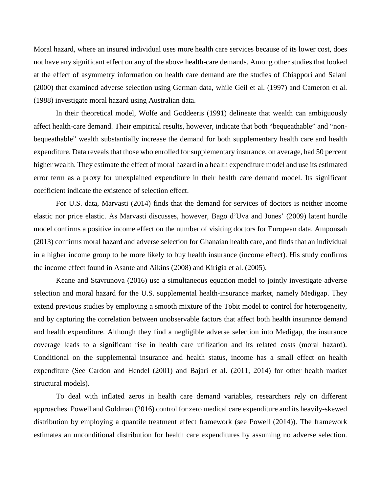Moral hazard, where an insured individual uses more health care services because of its lower cost, does not have any significant effect on any of the above health-care demands. Among other studies that looked at the effect of asymmetry information on health care demand are the studies of Chiappori and Salani (2000) that examined adverse selection using German data, while Geil et al. (1997) and Cameron et al. (1988) investigate moral hazard using Australian data.

In their theoretical model, Wolfe and Goddeeris (1991) delineate that wealth can ambiguously affect health-care demand. Their empirical results, however, indicate that both "bequeathable" and "nonbequeathable" wealth substantially increase the demand for both supplementary health care and health expenditure. Data reveals that those who enrolled for supplementary insurance, on average, had 50 percent higher wealth. They estimate the effect of moral hazard in a health expenditure model and use its estimated error term as a proxy for unexplained expenditure in their health care demand model. Its significant coefficient indicate the existence of selection effect.

For U.S. data, Marvasti (2014) finds that the demand for services of doctors is neither income elastic nor price elastic. As Marvasti discusses, however, Bago d'Uva and Jones' (2009) latent hurdle model confirms a positive income effect on the number of visiting doctors for European data. Amponsah (2013) confirms moral hazard and adverse selection for Ghanaian health care, and finds that an individual in a higher income group to be more likely to buy health insurance (income effect). His study confirms the income effect found in Asante and Aikins (2008) and Kirigia et al. (2005).

Keane and Stavrunova (2016) use a simultaneous equation model to jointly investigate adverse selection and moral hazard for the U.S. supplemental health-insurance market, namely Medigap. They extend previous studies by employing a smooth mixture of the Tobit model to control for heterogeneity, and by capturing the correlation between unobservable factors that affect both health insurance demand and health expenditure. Although they find a negligible adverse selection into Medigap, the insurance coverage leads to a significant rise in health care utilization and its related costs (moral hazard). Conditional on the supplemental insurance and health status, income has a small effect on health expenditure (See Cardon and Hendel (2001) and Bajari et al. (2011, 2014) for other health market structural models).

To deal with inflated zeros in health care demand variables, researchers rely on different approaches. Powell and Goldman (2016) control for zero medical care expenditure and its heavily-skewed distribution by employing a quantile treatment effect framework (see Powell (2014)). The framework estimates an unconditional distribution for health care expenditures by assuming no adverse selection.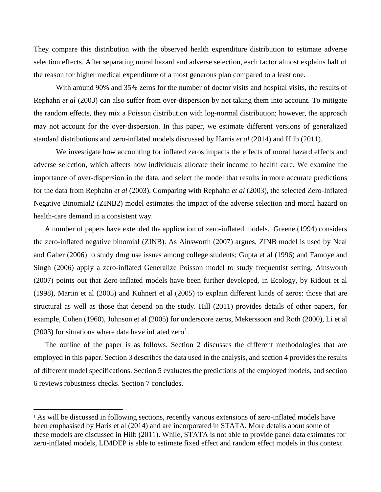They compare this distribution with the observed health expenditure distribution to estimate adverse selection effects. After separating moral hazard and adverse selection, each factor almost explains half of the reason for higher medical expenditure of a most generous plan compared to a least one.

With around 90% and 35% zeros for the number of doctor visits and hospital visits, the results of Rephahn *et al* (2003) can also suffer from over-dispersion by not taking them into account. To mitigate the random effects, they mix a Poisson distribution with log-normal distribution; however, the approach may not account for the over-dispersion. In this paper, we estimate different versions of generalized standard distributions and zero-inflated models discussed by Harris *et al* (2014) and Hilb (2011).

We investigate how accounting for inflated zeros impacts the effects of moral hazard effects and adverse selection, which affects how individuals allocate their income to health care. We examine the importance of over-dispersion in the data, and select the model that results in more accurate predictions for the data from Rephahn *et al* (2003). Comparing with Rephahn *et al* (2003), the selected Zero-Inflated Negative Binomial2 (ZINB2) model estimates the impact of the adverse selection and moral hazard on health-care demand in a consistent way.

A number of papers have extended the application of zero-inflated models. Greene (1994) considers the zero-inflated negative binomial (ZINB). As Ainsworth (2007) argues, ZINB model is used by Neal and Gaher (2006) to study drug use issues among college students; Gupta et al (1996) and Famoye and Singh (2006) apply a zero-inflated Generalize Poisson model to study frequentist setting. Ainsworth (2007) points out that Zero-inflated models have been further developed, in Ecology, by Ridout et al (1998), Martin et al (2005) and Kuhnert et al (2005) to explain different kinds of zeros: those that are structural as well as those that depend on the study. Hill (2011) provides details of other papers, for example, Cohen (1960), Johnson et al (2005) for underscore zeros, Mekerssoon and Roth (2000), Li et al (2003) for situations where data have inflated zero<sup>[1](#page-3-0)</sup>.

The outline of the paper is as follows. Section 2 discusses the different methodologies that are employed in this paper. Section 3 describes the data used in the analysis, and section 4 provides the results of different model specifications. Section 5 evaluates the predictions of the employed models, and section 6 reviews robustness checks. Section 7 concludes.

 $\overline{\phantom{a}}$ 

<span id="page-3-0"></span><sup>&</sup>lt;sup>1</sup> As will be discussed in following sections, recently various extensions of zero-inflated models have been emphasised by Haris et al (2014) and are incorporated in STATA. More details about some of these models are discussed in Hilb (2011). While, STATA is not able to provide panel data estimates for zero-inflated models, LIMDEP is able to estimate fixed effect and random effect models in this context.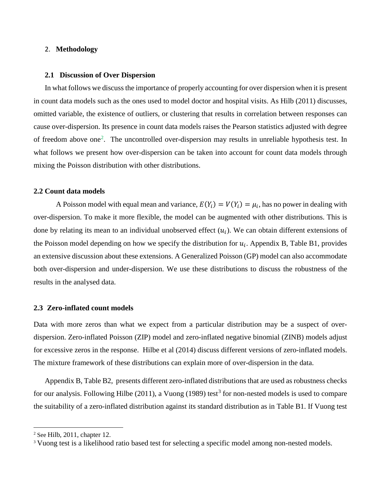## 2. **Methodology**

#### **2.1 Discussion of Over Dispersion**

In what follows we discuss the importance of properly accounting for over dispersion when it is present in count data models such as the ones used to model doctor and hospital visits. As Hilb (2011) discusses, omitted variable, the existence of outliers, or clustering that results in correlation between responses can cause over-dispersion. Its presence in count data models raises the Pearson statistics adjusted with degree of freedom above one<sup>[2](#page-4-0)</sup>. The uncontrolled over-dispersion may results in unreliable hypothesis test. In what follows we present how over-dispersion can be taken into account for count data models through mixing the Poisson distribution with other distributions.

### **2.2 Count data models**

A Poisson model with equal mean and variance,  $E(Y_i) = V(Y_i) = \mu_i$ , has no power in dealing with over-dispersion. To make it more flexible, the model can be augmented with other distributions. This is done by relating its mean to an individual unobserved effect  $(u_i)$ . We can obtain different extensions of the Poisson model depending on how we specify the distribution for  $u_i$ . Appendix B, Table B1, provides an extensive discussion about these extensions. A Generalized Poisson (GP) model can also accommodate both over-dispersion and under-dispersion. We use these distributions to discuss the robustness of the results in the analysed data.

# **2.3 Zero-inflated count models**

Data with more zeros than what we expect from a particular distribution may be a suspect of overdispersion. Zero-inflated Poisson (ZIP) model and zero-inflated negative binomial (ZINB) models adjust for excessive zeros in the response. Hilbe et al (2014) discuss different versions of zero-inflated models. The mixture framework of these distributions can explain more of over-dispersion in the data.

Appendix B, Table B2, presents different zero-inflated distributions that are used as robustness checks for our analysis. Following Hilbe (2011), a Vuong (1989) test<sup>[3](#page-4-1)</sup> for non-nested models is used to compare the suitability of a zero-inflated distribution against its standard distribution as in Table B1. If Vuong test

 $\overline{\phantom{a}}$ 

<span id="page-4-0"></span> $2$  See Hilb, 2011, chapter 12.

<span id="page-4-1"></span><sup>&</sup>lt;sup>3</sup> Vuong test is a likelihood ratio based test for selecting a specific model among non-nested models.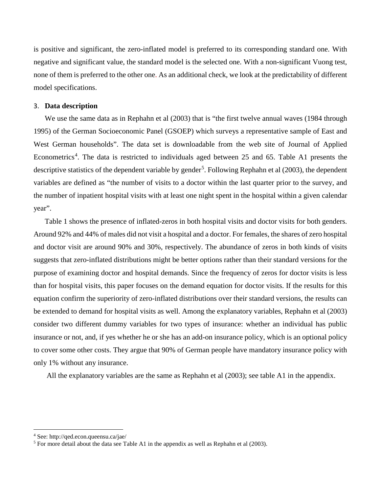is positive and significant, the zero-inflated model is preferred to its corresponding standard one. With negative and significant value, the standard model is the selected one. With a non-significant Vuong test, none of them is preferred to the other one. As an additional check, we look at the predictability of different model specifications.

## 3. **Data description**

We use the same data as in Rephahn et al (2003) that is "the first twelve annual waves (1984 through 1995) of the German Socioeconomic Panel (GSOEP) which surveys a representative sample of East and West German households". The data set is downloadable from the web site of Journal of Applied Econometrics<sup>[4](#page-5-0)</sup>. The data is restricted to individuals aged between 25 and 65. Table A1 presents the descriptive statistics of the dependent variable by gender<sup>[5](#page-5-1)</sup>. Following Rephahn et al (2003), the dependent variables are defined as "the number of visits to a doctor within the last quarter prior to the survey, and the number of inpatient hospital visits with at least one night spent in the hospital within a given calendar year".

Table 1 shows the presence of inflated-zeros in both hospital visits and doctor visits for both genders. Around 92% and 44% of males did not visit a hospital and a doctor. For females, the shares of zero hospital and doctor visit are around 90% and 30%, respectively. The abundance of zeros in both kinds of visits suggests that zero-inflated distributions might be better options rather than their standard versions for the purpose of examining doctor and hospital demands. Since the frequency of zeros for doctor visits is less than for hospital visits, this paper focuses on the demand equation for doctor visits. If the results for this equation confirm the superiority of zero-inflated distributions over their standard versions, the results can be extended to demand for hospital visits as well. Among the explanatory variables, Rephahn et al (2003) consider two different dummy variables for two types of insurance: whether an individual has public insurance or not, and, if yes whether he or she has an add-on insurance policy, which is an optional policy to cover some other costs. They argue that 90% of German people have mandatory insurance policy with only 1% without any insurance.

All the explanatory variables are the same as Rephahn et al (2003); see table A1 in the appendix.

l

<span id="page-5-0"></span><sup>4</sup> See: http://qed.econ.queensu.ca/jae/

<span id="page-5-1"></span> $<sup>5</sup>$  For more detail about the data see Table A1 in the appendix as well as Rephahn et al (2003).</sup>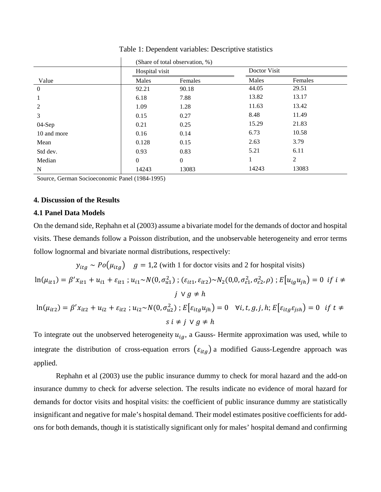|                  | (Share of total observation, %) |                |       |                |  |  |
|------------------|---------------------------------|----------------|-------|----------------|--|--|
|                  | Hospital visit                  |                |       | Doctor Visit   |  |  |
| Value            | Males                           | Females        | Males | Females        |  |  |
| $\boldsymbol{0}$ | 92.21                           | 90.18          | 44.05 | 29.51          |  |  |
|                  | 6.18                            | 7.88           | 13.82 | 13.17          |  |  |
| 2                | 1.09                            | 1.28           | 11.63 | 13.42          |  |  |
| 3                | 0.15                            | 0.27           | 8.48  | 11.49          |  |  |
| $04-Sep$         | 0.21                            | 0.25           | 15.29 | 21.83          |  |  |
| 10 and more      | 0.16                            | 0.14           | 6.73  | 10.58          |  |  |
| Mean             | 0.128                           | 0.15           | 2.63  | 3.79           |  |  |
| Std dev.         | 0.93                            | 0.83           | 5.21  | 6.11           |  |  |
| Median           | $\mathbf{0}$                    | $\overline{0}$ |       | $\overline{2}$ |  |  |
| N                | 14243                           | 13083          | 14243 | 13083          |  |  |

Table 1: Dependent variables: Descriptive statistics

Source, German Socioeconomic Panel (1984-1995)

#### **4. Discussion of the Results**

### **4.1 Panel Data Models**

On the demand side, Rephahn et al (2003) assume a bivariate model for the demands of doctor and hospital visits. These demands follow a Poisson distribution, and the unobservable heterogeneity and error terms follow lognormal and bivariate normal distributions, respectively:

 $y_{itg} \sim Po(\mu_{itg})$  = 1,2 (with 1 for doctor visits and 2 for hospital visits)

$$
\ln(\mu_{it1}) = \beta' x_{it1} + u_{i1} + \varepsilon_{it1} ; u_{i1} \sim N(0, \sigma_{u1}^2) ; (\varepsilon_{it1}, \varepsilon_{it2}) \sim N_2(0, 0, \sigma_{\varepsilon_1}^2, \sigma_{\varepsilon_2}^2, \rho) ; E[u_{ig}u_{jh}] = 0 \text{ if } i \neq j \lor g \neq h
$$
  

$$
\ln(\mu_{it2}) = \beta' x_{it2} + u_{i2} + \varepsilon_{it2} ; u_{i2} \sim N(0, \sigma_{u2}^2) ; E[\varepsilon_{itg}u_{jh}] = 0 \quad \forall i, t, g, j, h; E[\varepsilon_{itg}\varepsilon_{jsh}] = 0 \text{ if } t \neq s \quad \forall g \neq h
$$

To integrate out the unobserved heterogeneity  $u_{ig}$ , a Gauss- Hermite approximation was used, while to integrate the distribution of cross-equation errors  $(\varepsilon_{itg})$  a modified Gauss-Legendre approach was applied.

Rephahn et al (2003) use the public insurance dummy to check for moral hazard and the add-on insurance dummy to check for adverse selection. The results indicate no evidence of moral hazard for demands for doctor visits and hospital visits: the coefficient of public insurance dummy are statistically insignificant and negative for male's hospital demand. Their model estimates positive coefficients for addons for both demands, though it is statistically significant only for males' hospital demand and confirming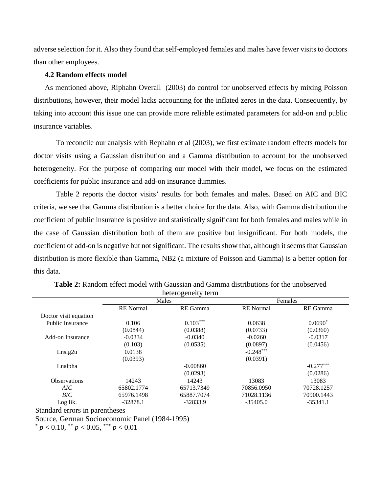adverse selection for it. Also they found that self-employed females and males have fewer visits to doctors than other employees.

# **4.2 Random effects model**

As mentioned above, Riphahn Overall (2003) do control for unobserved effects by mixing Poisson distributions, however, their model lacks accounting for the inflated zeros in the data. Consequently, by taking into account this issue one can provide more reliable estimated parameters for add-on and public insurance variables.

To reconcile our analysis with Rephahn et al (2003), we first estimate random effects models for doctor visits using a Gaussian distribution and a Gamma distribution to account for the unobserved heterogeneity. For the purpose of comparing our model with their model, we focus on the estimated coefficients for public insurance and add-on insurance dummies.

Table 2 reports the doctor visits' results for both females and males. Based on AIC and BIC criteria, we see that Gamma distribution is a better choice for the data. Also, with Gamma distribution the coefficient of public insurance is positive and statistically significant for both females and males while in the case of Gaussian distribution both of them are positive but insignificant. For both models, the coefficient of add-on is negative but not significant. The results show that, although it seems that Gaussian distribution is more flexible than Gamma, NB2 (a mixture of Poisson and Gamma) is a better option for this data.

|                       |                  | Males      |                  | Females     |
|-----------------------|------------------|------------|------------------|-------------|
|                       | <b>RE</b> Normal | RE Gamma   | <b>RE</b> Normal | RE Gamma    |
| Doctor visit equation |                  |            |                  |             |
| Public Insurance      | 0.106            | $0.103***$ | 0.0638           | $0.0690*$   |
|                       | (0.0844)         | (0.0388)   | (0.0733)         | (0.0360)    |
| Add-on Insurance      | $-0.0334$        | $-0.0340$  | $-0.0260$        | $-0.0317$   |
|                       | (0.103)          | (0.0535)   | (0.0897)         | (0.0456)    |
| Lnsig2u               | 0.0138           |            | $-0.248***$      |             |
|                       | (0.0393)         |            | (0.0391)         |             |
| Lnalpha               |                  | $-0.00860$ |                  | $-0.277***$ |
|                       |                  | (0.0293)   |                  | (0.0286)    |
| <b>Observations</b>   | 14243            | 14243      | 13083            | 13083       |
| AIC                   | 65802.1774       | 65713.7349 | 70856.0950       | 70728.1257  |
| BIC                   | 65976.1498       | 65887.7074 | 71028.1136       | 70900.1443  |
| Log lik.              | $-32878.1$       | $-32833.9$ | $-35405.0$       | $-35341.1$  |

**Table 2:** Random effect model with Gaussian and Gamma distributions for the unobserved heterogeneity term

Standard errors in parentheses

Source, German Socioeconomic Panel (1984-1995)

 $p < 0.10$ ,  $p < 0.05$ ,  $p \le 0.01$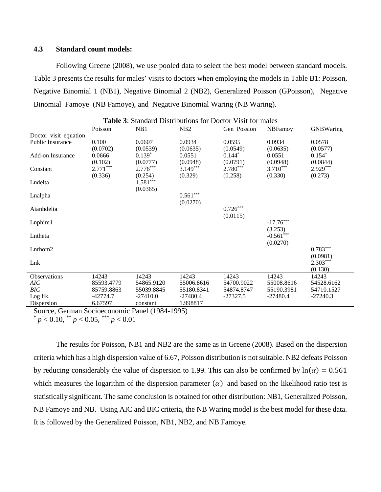# **4.3 Standard count models:**

Following Greene (2008), we use pooled data to select the best model between standard models. Table 3 presents the results for males' visits to doctors when employing the models in Table B1: Poisson, Negative Binomial 1 (NB1), Negative Binomial 2 (NB2), Generalized Poisson (GPoisson), Negative Binomial Famoye (NB Famoye), and Negative Binomial Waring (NB Waring).

|                         |            |            | <b>Table 5:</b> Standard Distributions for Doctor Visit for males |             |                |                  |
|-------------------------|------------|------------|-------------------------------------------------------------------|-------------|----------------|------------------|
|                         | Poisson    | NB1        | NB <sub>2</sub>                                                   | Gen Possion | <b>NBFamoy</b> | <b>GNBWaring</b> |
| Doctor visit equation   |            |            |                                                                   |             |                |                  |
| <b>Public Insurance</b> | 0.100      | 0.0607     | 0.0934                                                            | 0.0595      | 0.0934         | 0.0578           |
|                         | (0.0702)   | (0.0539)   | (0.0635)                                                          | (0.0549)    | (0.0635)       | (0.0577)         |
| Add-on Insurance        | 0.0666     | $0.139*$   | 0.0551                                                            | $0.144*$    | 0.0551         | $0.154*$         |
|                         | (0.102)    | (0.0777)   | (0.0948)                                                          | (0.0791)    | (0.0948)       | (0.0844)         |
| Constant                | $2.771***$ | $2.776***$ | $3.149***$                                                        | $2.780***$  | $3.710***$     | $2.929***$       |
|                         | (0.336)    | (0.254)    | (0.329)                                                           | (0.258)     | (0.330)        | (0.273)          |
| Lndelta                 |            | $1.581***$ |                                                                   |             |                |                  |
|                         |            | (0.0365)   |                                                                   |             |                |                  |
| Lnalpha                 |            |            | $0.561***$                                                        |             |                |                  |
|                         |            |            | (0.0270)                                                          |             |                |                  |
| Atanhdelta              |            |            |                                                                   | $0.726***$  |                |                  |
|                         |            |            |                                                                   | (0.0115)    |                |                  |
| $L$ nphim $1$           |            |            |                                                                   |             | $-17.76***$    |                  |
|                         |            |            |                                                                   |             | (3.253)        |                  |
| Lntheta                 |            |            |                                                                   |             | $-0.561***$    |                  |
|                         |            |            |                                                                   |             | (0.0270)       |                  |
| $L$ nrhom $2$           |            |            |                                                                   |             |                | $0.783***$       |
|                         |            |            |                                                                   |             |                | (0.0981)         |
| Lnk                     |            |            |                                                                   |             |                | $2.303***$       |
|                         |            |            |                                                                   |             |                | (0.130)          |
| Observations            | 14243      | 14243      | 14243                                                             | 14243       | 14243          | 14243            |
| AIC                     | 85593.4779 | 54865.9120 | 55006.8616                                                        | 54700.9022  | 55008.8616     | 54528.6162       |
| BIC                     | 85759.8863 | 55039.8845 | 55180.8341                                                        | 54874.8747  | 55190.3981     | 54710.1527       |
| Log lik.                | $-42774.7$ | $-27410.0$ | $-27480.4$                                                        | $-27327.5$  | $-27480.4$     | $-27240.3$       |
| Dispersion              | 6.67597    | constant   | 1.998817                                                          |             |                |                  |

|  | <b>Table 3:</b> Standard Distributions for Doctor Visit for males |  |  |
|--|-------------------------------------------------------------------|--|--|
|--|-------------------------------------------------------------------|--|--|

Source, German Socioeconomic Panel (1984-1995)

 $p < 0.10$ , \*\*  $p < 0.05$ , \*\*\*  $p < 0.01$ 

The results for Poisson, NB1 and NB2 are the same as in Greene (2008). Based on the dispersion criteria which has a high dispersion value of 6.67, Poisson distribution is not suitable. NB2 defeats Poisson by reducing considerably the value of dispersion to 1.99. This can also be confirmed by  $ln(\alpha) = 0.561$ which measures the logarithm of the dispersion parameter  $(\alpha)$  and based on the likelihood ratio test is statistically significant. The same conclusion is obtained for other distribution: NB1, Generalized Poisson, NB Famoye and NB. Using AIC and BIC criteria, the NB Waring model is the best model for these data. It is followed by the Generalized Poisson, NB1, NB2, and NB Famoye.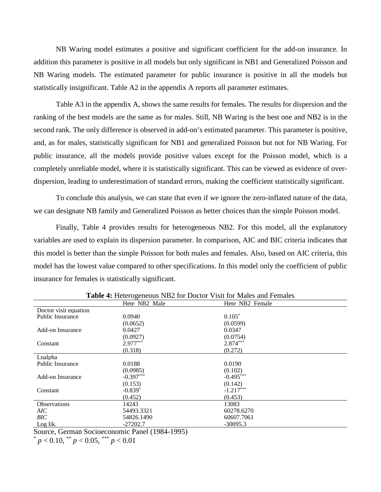NB Waring model estimates a positive and significant coefficient for the add-on insurance. In addition this parameter is positive in all models but only significant in NB1 and Generalized Poisson and NB Waring models. The estimated parameter for public insurance is positive in all the models but statistically insignificant. Table A2 in the appendix A reports all parameter estimates.

Table A3 in the appendix A, shows the same results for females. The results for dispersion and the ranking of the best models are the same as for males. Still, NB Waring is the best one and NB2 is in the second rank. The only difference is observed in add-on's estimated parameter. This parameter is positive, and, as for males, statistically significant for NB1 and generalized Poisson but not for NB Waring. For public insurance, all the models provide positive values except for the Poisson model, which is a completely unreliable model, where it is statistically significant. This can be viewed as evidence of overdispersion, leading to underestimation of standard errors, making the coefficient statistically significant.

To conclude this analysis, we can state that even if we ignore the zero-inflated nature of the data, we can designate NB family and Generalized Poisson as better choices than the simple Poisson model.

Finally, Table 4 provides results for heterogeneous NB2. For this model, all the explanatory variables are used to explain its dispersion parameter. In comparison, AIC and BIC criteria indicates that this model is better than the simple Poisson for both males and females. Also, based on AIC criteria, this model has the lowest value compared to other specifications. In this model only the coefficient of public insurance for females is statistically significant.

|                         | Hete NB2 Male | Hete NB2 Female |  |
|-------------------------|---------------|-----------------|--|
| Doctor visit equation   |               |                 |  |
| <b>Public Insurance</b> | 0.0940        | $0.105*$        |  |
|                         | (0.0652)      | (0.0599)        |  |
| Add-on Insurance        | 0.0427        | 0.0347          |  |
|                         | (0.0927)      | (0.0754)        |  |
| Constant                | $2.977***$    | $2.874***$      |  |
|                         | (0.318)       | (0.272)         |  |
| Lnalpha                 |               |                 |  |
| <b>Public Insurance</b> | 0.0188        | 0.0190          |  |
|                         | (0.0985)      | (0.102)         |  |
| Add-on Insurance        | $-0.397***$   | $-0.495***$     |  |
|                         | (0.153)       | (0.142)         |  |
| Constant                | $-0.839*$     | $-1.217***$     |  |
|                         | (0.452)       | (0.453)         |  |
| <b>Observations</b>     | 14243         | 13083           |  |
| AIC                     | 54493.3321    | 60278.6270      |  |
| BIC                     | 54826.1490    | 60607.7061      |  |
| Log lik.                | $-27202.7$    | $-30095.3$      |  |

**Table 4:** Heterogeneous NB2 for Doctor Visit for Males and Females

Source, German Socioeconomic Panel (1984-1995)

 $p < 0.10$ , \*\*  $p < 0.05$ , \*\*\*  $p < 0.01$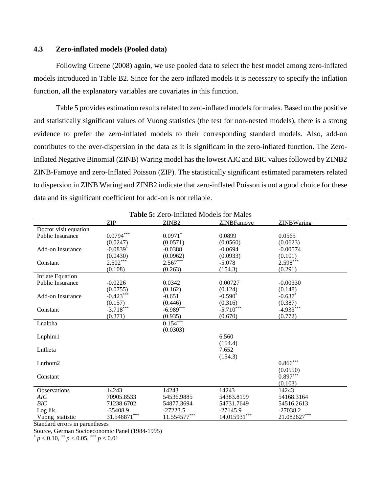## **4.3 Zero-inflated models (Pooled data)**

Following Greene (2008) again, we use pooled data to select the best model among zero-inflated models introduced in Table B2. Since for the zero inflated models it is necessary to specify the inflation function, all the explanatory variables are covariates in this function.

Table 5 provides estimation results related to zero-inflated models for males. Based on the positive and statistically significant values of Vuong statistics (the test for non-nested models), there is a strong evidence to prefer the zero-inflated models to their corresponding standard models. Also, add-on contributes to the over-dispersion in the data as it is significant in the zero-inflated function. The Zero-Inflated Negative Binomial (ZINB) Waring model has the lowest AIC and BIC values followed by ZINB2 ZINB-Famoye and zero-Inflated Poisson (ZIP). The statistically significant estimated parameters related to dispersion in ZINB Waring and ZINB2 indicate that zero-inflated Poisson is not a good choice for these data and its significant coefficient for add-on is not reliable.

| <b>Table 5: Zero-Inflated Models for Males</b> |                        |                       |              |              |  |  |
|------------------------------------------------|------------------------|-----------------------|--------------|--------------|--|--|
|                                                | <b>ZIP</b>             | ZINB <sub>2</sub>     | ZINBFamoye   | ZINBWaring   |  |  |
| Doctor visit equation                          |                        |                       |              |              |  |  |
| <b>Public Insurance</b>                        | $0.0794***$            | $0.0971$ <sup>*</sup> | 0.0899       | 0.0565       |  |  |
|                                                | (0.0247)               | (0.0571)              | (0.0560)     | (0.0623)     |  |  |
| <b>Add-on Insurance</b>                        | $-0.0839$ <sup>*</sup> | $-0.0388$             | $-0.0694$    | $-0.00574$   |  |  |
|                                                | (0.0430)               | (0.0962)              | (0.0933)     | (0.101)      |  |  |
| Constant                                       | $2.502***$             | $2.567***$            | $-5.078$     | $2.598***$   |  |  |
|                                                | (0.108)                | (0.263)               | (154.3)      | (0.291)      |  |  |
| <b>Inflate Equation</b>                        |                        |                       |              |              |  |  |
| <b>Public Insurance</b>                        | $-0.0226$              | 0.0342                | 0.00727      | $-0.00330$   |  |  |
|                                                | (0.0755)               | (0.162)               | (0.124)      | (0.148)      |  |  |
| <b>Add-on Insurance</b>                        | $-0.423***$            | $-0.651$              | $-0.590^*$   | $-0.637*$    |  |  |
|                                                | (0.157)                | (0.446)               | (0.316)      | (0.387)      |  |  |
| Constant                                       | $-3.718***$            | $-6.989***$           | $-5.710***$  | $-4.933***$  |  |  |
|                                                | (0.371)                | (0.935)               | (0.670)      | (0.772)      |  |  |
| Lnalpha                                        |                        | $0.154***$            |              |              |  |  |
|                                                |                        | (0.0303)              |              |              |  |  |
| $L$ nphim $1$                                  |                        |                       | 6.560        |              |  |  |
|                                                |                        |                       | (154.4)      |              |  |  |
| Lntheta                                        |                        |                       | 7.652        |              |  |  |
|                                                |                        |                       | (154.3)      |              |  |  |
| $L$ nrhom $2$                                  |                        |                       |              | $0.866***$   |  |  |
|                                                |                        |                       |              | (0.0550)     |  |  |
| Constant                                       |                        |                       |              | $0.897***$   |  |  |
|                                                |                        |                       |              | (0.103)      |  |  |
| <b>Observations</b>                            | 14243                  | 14243                 | 14243        | 14243        |  |  |
| AIC                                            | 70905.8533             | 54536.9885            | 54383.8199   | 54168.3164   |  |  |
| BIC                                            | 71238.6702             | 54877.3694            | 54731.7649   | 54516.2613   |  |  |
| Log lik.                                       | $-35408.9$             | $-27223.5$            | $-27145.9$   | $-27038.2$   |  |  |
| Vuong statistic                                | 31.546871***           | $11.554577***$        | 14.015931*** | 21.082627*** |  |  |

Standard errors in parentheses

Source, German Socioeconomic Panel (1984-1995)

 $p < 0.10$ , \*\*  $p < 0.05$ , \*\*\*  $p < 0.01$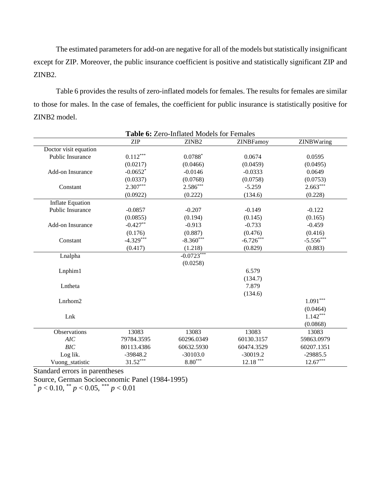The estimated parameters for add-on are negative for all of the models but statistically insignificant except for ZIP. Moreover, the public insurance coefficient is positive and statistically significant ZIP and ZINB2.

Table 6 provides the results of zero-inflated models for females. The results for females are similar to those for males. In the case of females, the coefficient for public insurance is statistically positive for ZINB2 model.

| Table 6: Zero-Inflated Models for Females |             |                       |                  |             |  |
|-------------------------------------------|-------------|-----------------------|------------------|-------------|--|
|                                           | <b>ZIP</b>  | ZINB2                 | <b>ZINBFamoy</b> | ZINBWaring  |  |
| Doctor visit equation                     |             |                       |                  |             |  |
| <b>Public Insurance</b>                   | $0.112***$  | $0.0788*$             | 0.0674           | 0.0595      |  |
|                                           | (0.0217)    | (0.0466)              | (0.0459)         | (0.0495)    |  |
| Add-on Insurance                          | $-0.0652$ * | $-0.0146$             | $-0.0333$        | 0.0649      |  |
|                                           | (0.0337)    | (0.0768)              | (0.0758)         | (0.0753)    |  |
| Constant                                  | $2.307***$  | $2.586***$            | $-5.259$         | $2.663***$  |  |
|                                           | (0.0922)    | (0.222)               | (134.6)          | (0.228)     |  |
| <b>Inflate Equation</b>                   |             |                       |                  |             |  |
| Public Insurance                          | $-0.0857$   | $-0.207$              | $-0.149$         | $-0.122$    |  |
|                                           | (0.0855)    | (0.194)               | (0.145)          | (0.165)     |  |
| Add-on Insurance                          | $-0.427**$  | $-0.913$              | $-0.733$         | $-0.459$    |  |
|                                           | (0.176)     | (0.887)               | (0.476)          | (0.416)     |  |
| Constant                                  | $-4.329***$ | $-8.360***$           | $-6.726***$      | $-5.556***$ |  |
|                                           | (0.417)     | (1.218)               | (0.829)          | (0.883)     |  |
| Lnalpha                                   |             | $-0.0723***$          |                  |             |  |
|                                           |             | (0.0258)              |                  |             |  |
| Lnphim1                                   |             |                       | 6.579            |             |  |
|                                           |             |                       | (134.7)          |             |  |
| Lntheta                                   |             |                       | 7.879            |             |  |
|                                           |             |                       | (134.6)          |             |  |
| Lnrhom2                                   |             |                       |                  | $1.091***$  |  |
|                                           |             |                       |                  | (0.0464)    |  |
| Lnk                                       |             |                       |                  | $1.142***$  |  |
|                                           |             |                       |                  | (0.0868)    |  |
| Observations                              | 13083       | 13083                 | 13083            | 13083       |  |
| AIC                                       | 79784.3595  | 60296.0349            | 60130.3157       | 59863.0979  |  |
| BIC                                       | 80113.4386  | 60632.5930            | 60474.3529       | 60207.1351  |  |
| Log lik.                                  | $-39848.2$  | $-30103.0$            | $-30019.2$       | $-29885.5$  |  |
| Vuong_statistic                           | $31.52***$  | $8.80^{\ast\ast\ast}$ | $12.18***$       | $12.67***$  |  |

Standard errors in parentheses

Source, German Socioeconomic Panel (1984-1995)

 $p < 0.10$ , \*\*  $p < 0.05$ , \*\*\*  $p < 0.01$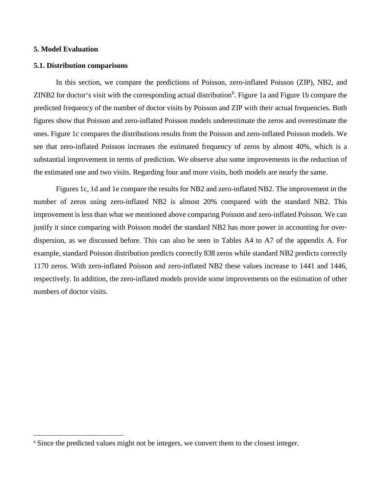### **5. Model Evaluation**

l

#### **5.1. Distribution comparisons**

In this section, we compare the predictions of Poisson, zero-inflated Poisson (ZIP), NB2, and ZINB2 for doctor's visit with the corresponding actual distribution<sup>[6](#page-12-0)</sup>. Figure 1a and Figure 1b compare the predicted frequency of the number of doctor visits by Poisson and ZIP with their actual frequencies. Both figures show that Poisson and zero-inflated Poisson models underestimate the zeros and overestimate the ones. Figure 1c compares the distributions results from the Poisson and zero-inflated Poisson models. We see that zero-inflated Poisson increases the estimated frequency of zeros by almost 40%, which is a substantial improvement in terms of prediction. We observe also some improvements in the reduction of the estimated one and two visits. Regarding four and more visits, both models are nearly the same.

Figures 1c, 1d and 1e compare the results for NB2 and zero-inflated NB2. The improvement in the number of zeros using zero-inflated NB2 is almost 20% compared with the standard NB2. This improvement is less than what we mentioned above comparing Poisson and zero-inflated Poisson. We can justify it since comparing with Poisson model the standard NB2 has more power in accounting for overdispersion, as we discussed before. This can also be seen in Tables A4 to A7 of the appendix A. For example, standard Poisson distribution predicts correctly 838 zeros while standard NB2 predicts correctly 1170 zeros. With zero-inflated Poisson and zero-inflated NB2 these values increase to 1441 and 1446, respectively. In addition, the zero-inflated models provide some improvements on the estimation of other numbers of doctor visits.

<span id="page-12-0"></span><sup>6</sup> Since the predicted values might not be integers, we convert them to the closest integer.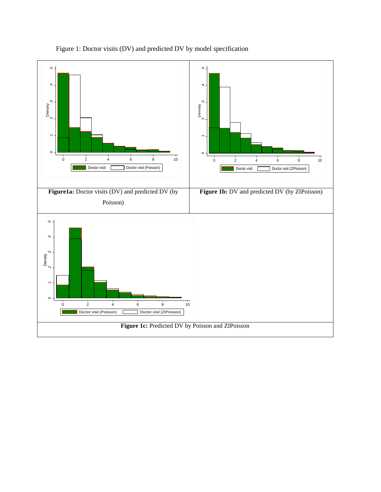

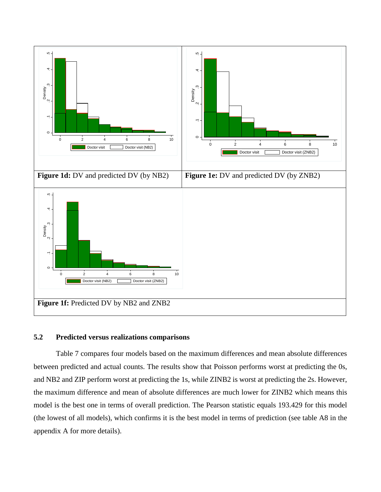

# **5.2 Predicted versus realizations comparisons**

Table 7 compares four models based on the maximum differences and mean absolute differences between predicted and actual counts. The results show that Poisson performs worst at predicting the 0s, and NB2 and ZIP perform worst at predicting the 1s, while ZINB2 is worst at predicting the 2s. However, the maximum difference and mean of absolute differences are much lower for ZINB2 which means this model is the best one in terms of overall prediction. The Pearson statistic equals 193.429 for this model (the lowest of all models), which confirms it is the best model in terms of prediction (see table A8 in the appendix A for more details).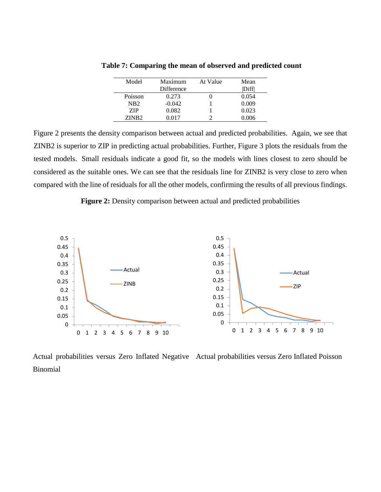| Model             | Maximum    | At Value | Mean  |
|-------------------|------------|----------|-------|
|                   | Difference |          | Diffl |
| Poisson           | 0.273      |          | 0.054 |
| NB <sub>2</sub>   | $-0.042$   |          | 0.009 |
| 7.IP              | 0.082      |          | 0.023 |
| ZINB <sub>2</sub> | 0 017      |          | 0.006 |

**Table 7: Comparing the mean of observed and predicted count**

Figure 2 presents the density comparison between actual and predicted probabilities. Again, we see that ZINB2 is superior to ZIP in predicting actual probabilities. Further, Figure 3 plots the residuals from the tested models. Small residuals indicate a good fit, so the models with lines closest to zero should be considered as the suitable ones. We can see that the residuals line for ZINB2 is very close to zero when compared with the line of residuals for all the other models, confirming the results of all previous findings.

**Figure 2:** Density comparison between actual and predicted probabilities



Actual probabilities versus Zero Inflated Negative Actual probabilities versus Zero Inflated Poisson Binomial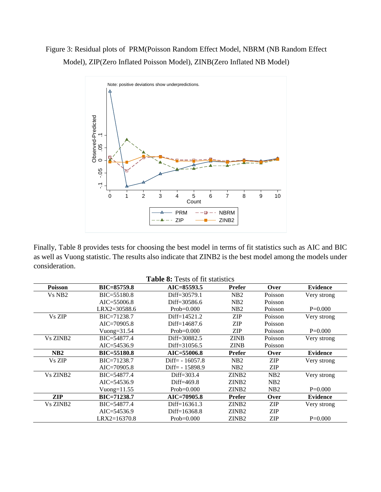# Figure 3: Residual plots of PRM(Poisson Random Effect Model, NBRM (NB Random Effect Model), ZIP(Zero Inflated Poisson Model), ZINB(Zero Inflated NB Model)



|                      | Observed-P<br>0 .05 .1<br>$-0.5$<br>Ņ<br>$\overline{2}$<br>$\Omega$<br>$\mathbf{1}$                                                                                                                                     | 3<br>$\overline{4}$<br>5<br>$6\phantom{a}$<br>Count<br><b>PRM</b><br>$--$ B<br>$- - ZIP$ | $\overline{7}$<br>8<br>$-$ - NBRM<br>ZINB <sub>2</sub> | $\overline{9}$<br>10 |                 |
|----------------------|-------------------------------------------------------------------------------------------------------------------------------------------------------------------------------------------------------------------------|------------------------------------------------------------------------------------------|--------------------------------------------------------|----------------------|-----------------|
| consideration.       | Finally, Table 8 provides tests for choosing the best model in terms of fit statistics such as AIC and BIC<br>as well as Vuong statistic. The results also indicate that ZINB2 is the best model among the models under | <b>Table 8: Tests of fit statistics</b>                                                  |                                                        |                      |                 |
| Poisson              | BIC=85759.8                                                                                                                                                                                                             | AIC=85593.5                                                                              | <b>Prefer</b>                                          | Over                 | <b>Evidence</b> |
| Vs NB <sub>2</sub>   | BIC=55180.8                                                                                                                                                                                                             | Diff=30579.1                                                                             | NB <sub>2</sub>                                        | Poisson              | Very strong     |
|                      | AIC=55006.8                                                                                                                                                                                                             | Diff=30586.6                                                                             | NB <sub>2</sub>                                        | Poisson              |                 |
|                      | LRX2=30588.6                                                                                                                                                                                                            | $Prob=0.000$                                                                             | NB <sub>2</sub>                                        | Poisson              | $P=0.000$       |
| Vs ZIP               | BIC=71238.7                                                                                                                                                                                                             | Diff=14521.2                                                                             | <b>ZIP</b>                                             | Poisson              | Very strong     |
|                      | AIC=70905.8                                                                                                                                                                                                             | Diff=14687.6                                                                             | <b>ZIP</b>                                             | Poisson              |                 |
|                      | Vuong= $31.54$                                                                                                                                                                                                          | $Prob=0.000$                                                                             | <b>ZIP</b>                                             | Poisson              | $P=0.000$       |
| Vs ZINB2             | BIC=54877.4                                                                                                                                                                                                             | Diff=30882.5                                                                             | <b>ZINB</b>                                            | Poisson              | Very strong     |
|                      | AIC=54536.9                                                                                                                                                                                                             | Diff=31056.5                                                                             | <b>ZINB</b>                                            | Poisson              |                 |
| NB2                  | BIC=55180.8                                                                                                                                                                                                             | AIC=55006.8                                                                              | <b>Prefer</b>                                          | Over                 | <b>Evidence</b> |
| Vs ZIP               | BIC=71238.7                                                                                                                                                                                                             | Diff= - 16057.8                                                                          | NB <sub>2</sub>                                        | <b>ZIP</b>           | Very strong     |
|                      | AIC=70905.8                                                                                                                                                                                                             | Diff= - 15898.9                                                                          | NB <sub>2</sub>                                        | <b>ZIP</b>           |                 |
| Vs ZINB2             | BIC=54877.4                                                                                                                                                                                                             | Diff=303.4                                                                               | ZINB <sub>2</sub>                                      | NB <sub>2</sub>      | Very strong     |
|                      | AIC=54536.9                                                                                                                                                                                                             | Diff=469.8                                                                               | ZINB <sub>2</sub>                                      | NB <sub>2</sub>      |                 |
|                      | Vuong= $11.55$                                                                                                                                                                                                          | $Prob=0.000$                                                                             | ZINB <sub>2</sub>                                      | NB <sub>2</sub>      | $P=0.000$       |
| <b>ZIP</b>           | BIC=71238.7                                                                                                                                                                                                             | AIC=70905.8                                                                              | <b>Prefer</b>                                          | Over                 | <b>Evidence</b> |
| Vs ZINB <sub>2</sub> | BIC=54877.4                                                                                                                                                                                                             | Diff=16361.3                                                                             | ZINB2                                                  | <b>ZIP</b>           | Very strong     |
|                      | AIC=54536.9                                                                                                                                                                                                             | Diff=16368.8                                                                             | ZINB <sub>2</sub>                                      | <b>ZIP</b>           |                 |
|                      | LRX2=16370.8                                                                                                                                                                                                            | $Prob=0.000$                                                                             | ZINB <sub>2</sub>                                      | <b>ZIP</b>           | $P=0.000$       |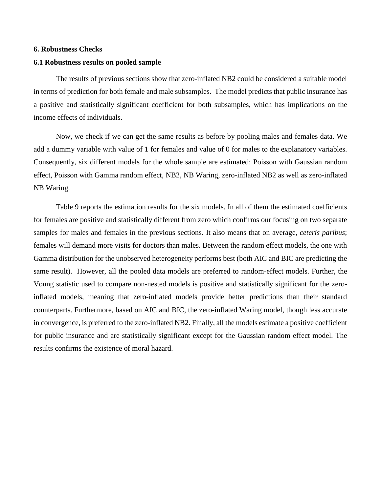### **6. Robustness Checks**

### **6.1 Robustness results on pooled sample**

The results of previous sections show that zero-inflated NB2 could be considered a suitable model in terms of prediction for both female and male subsamples. The model predicts that public insurance has a positive and statistically significant coefficient for both subsamples, which has implications on the income effects of individuals.

Now, we check if we can get the same results as before by pooling males and females data. We add a dummy variable with value of 1 for females and value of 0 for males to the explanatory variables. Consequently, six different models for the whole sample are estimated: Poisson with Gaussian random effect, Poisson with Gamma random effect, NB2, NB Waring, zero-inflated NB2 as well as zero-inflated NB Waring.

Table 9 reports the estimation results for the six models. In all of them the estimated coefficients for females are positive and statistically different from zero which confirms our focusing on two separate samples for males and females in the previous sections. It also means that on average, *ceteris paribus*; females will demand more visits for doctors than males. Between the random effect models, the one with Gamma distribution for the unobserved heterogeneity performs best (both AIC and BIC are predicting the same result). However, all the pooled data models are preferred to random-effect models. Further, the Voung statistic used to compare non-nested models is positive and statistically significant for the zeroinflated models, meaning that zero-inflated models provide better predictions than their standard counterparts. Furthermore, based on AIC and BIC, the zero-inflated Waring model, though less accurate in convergence, is preferred to the zero-inflated NB2. Finally, all the models estimate a positive coefficient for public insurance and are statistically significant except for the Gaussian random effect model. The results confirms the existence of moral hazard.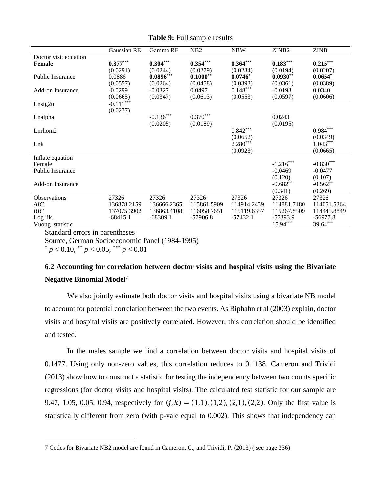|                         | Gaussian RE | Gamma RE    | N <sub>B</sub> 2 | <b>NBW</b>  | ZINB <sub>2</sub> | <b>ZINB</b> |
|-------------------------|-------------|-------------|------------------|-------------|-------------------|-------------|
| Doctor visit equation   |             |             |                  |             |                   |             |
| Female                  | $0.377***$  | $0.304***$  | $0.354***$       | $0.364***$  | $0.183***$        | $0.215***$  |
|                         | (0.0291)    | (0.0244)    | (0.0279)         | (0.0234)    | (0.0194)          | (0.0207)    |
| Public Insurance        | 0.0886      | $0.0896***$ | $0.1000**$       | $0.0746*$   | $0.0930**$        | $0.0654*$   |
|                         | (0.0557)    | (0.0264)    | (0.0458)         | (0.0393)    | (0.0361)          | (0.0389)    |
| Add-on Insurance        | $-0.0299$   | $-0.0327$   | 0.0497           | $0.148***$  | $-0.0193$         | 0.0340      |
|                         | (0.0665)    | (0.0347)    | (0.0613)         | (0.0553)    | (0.0597)          | (0.0606)    |
| Lnsig2u                 | $-0.111***$ |             |                  |             |                   |             |
|                         | (0.0277)    |             |                  |             |                   |             |
| Lnalpha                 |             | $-0.136***$ | $0.370***$       |             | 0.0243            |             |
|                         |             | (0.0205)    | (0.0189)         |             | (0.0195)          |             |
| $L$ nrhom $2$           |             |             |                  | $0.842***$  |                   | $0.984***$  |
|                         |             |             |                  | (0.0652)    |                   | (0.0349)    |
| Lnk                     |             |             |                  | $2.280***$  |                   | $1.043***$  |
|                         |             |             |                  | (0.0923)    |                   | (0.0665)    |
| Inflate equation        |             |             |                  |             |                   |             |
| Female                  |             |             |                  |             | $-1.216***$       | $-0.830***$ |
| <b>Public Insurance</b> |             |             |                  |             | $-0.0469$         | $-0.0477$   |
|                         |             |             |                  |             | (0.120)           | (0.107)     |
| Add-on Insurance        |             |             |                  |             | $-0.682**$        | $-0.562**$  |
|                         |             |             |                  |             | (0.341)           | (0.269)     |
| Observations            | 27326       | 27326       | 27326            | 27326       | 27326             | 27326       |
| AIC                     | 136878.2159 | 136666.2365 | 115861.5909      | 114914.2459 | 114881.7180       | 114051.5364 |
| <b>BIC</b>              | 137075.3902 | 136863.4108 | 116058.7651      | 115119.6357 | 115267.8509       | 114445.8849 |
| Log lik.                | $-68415.1$  | $-68309.1$  | $-57906.8$       | $-57432.1$  | -57393.9          | $-56977.8$  |
| Vuong statistic         |             |             |                  |             | 15.94***          | 39.64***    |

**Table 9:** Full sample results

Standard errors in parentheses

Source, German Socioeconomic Panel (1984-1995)

 $p < 0.10$ ,  $\binom{**}{p} < 0.05$ ,  $\binom{***}{p} < 0.01$ 

# **6.2 Accounting for correlation between doctor visits and hospital visits using the Bivariate Negative Binomial Model**[7](#page-18-0)

We also jointly estimate both doctor visits and hospital visits using a bivariate NB model to account for potential correlation between the two events. As Riphahn et al (2003) explain, doctor visits and hospital visits are positively correlated. However, this correlation should be identified and tested.

In the males sample we find a correlation between doctor visits and hospital visits of 0.1477. Using only non-zero values, this correlation reduces to 0.1138. Cameron and Trividi (2013) show how to construct a statistic for testing the independency between two counts specific regressions (for doctor visits and hospital visits). The calculated test statistic for our sample are 9.47, 1.05, 0.05, 0.94, respectively for  $(j, k) = (1, 1), (1, 2), (2, 1), (2, 2)$ . Only the first value is statistically different from zero (with p-vale equal to 0.002). This shows that independency can

<span id="page-18-0"></span>l 7 Codes for Bivariate NB2 model are found in Cameron, C., and Trividi, P. (2013) ( see page 336)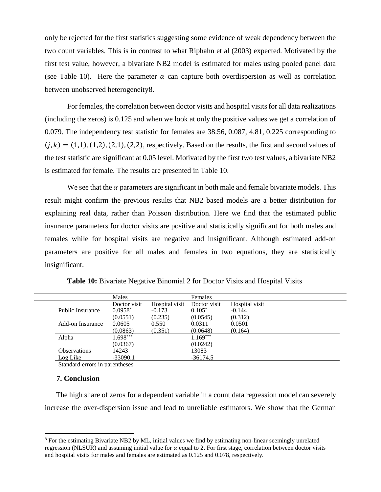only be rejected for the first statistics suggesting some evidence of weak dependency between the two count variables. This is in contrast to what Riphahn et al (2003) expected. Motivated by the first test value, however, a bivariate NB2 model is estimated for males using pooled panel data (see Table 10). Here the parameter  $\alpha$  can capture both overdispersion as well as correlation between unobserved heterogeneity[8](#page-19-0).

For females, the correlation between doctor visits and hospital visits for all data realizations (including the zeros) is 0.125 and when we look at only the positive values we get a correlation of 0.079. The independency test statistic for females are 38.56, 0.087, 4.81, 0.225 corresponding to  $(j, k) = (1, 1), (1, 2), (2, 1), (2, 2)$ , respectively. Based on the results, the first and second values of the test statistic are significant at 0.05 level. Motivated by the first two test values, a bivariate NB2 is estimated for female. The results are presented in Table 10.

We see that the  $\alpha$  parameters are significant in both male and female bivariate models. This result might confirm the previous results that NB2 based models are a better distribution for explaining real data, rather than Poisson distribution. Here we find that the estimated public insurance parameters for doctor visits are positive and statistically significant for both males and females while for hospital visits are negative and insignificant. Although estimated add-on parameters are positive for all males and females in two equations, they are statistically insignificant.

|                     | Males        |                | Females      |                |
|---------------------|--------------|----------------|--------------|----------------|
|                     | Doctor visit | Hospital visit | Doctor visit | Hospital visit |
| Public Insurance    | $0.0958^*$   | $-0.173$       | $0.105*$     | $-0.144$       |
|                     | (0.0551)     | (0.235)        | (0.0545)     | (0.312)        |
| Add-on Insurance    | 0.0605       | 0.550          | 0.0311       | 0.0501         |
|                     | (0.0863)     | (0.351)        | (0.0648)     | (0.164)        |
| Alpha               | $1.698***$   |                | $1.169***$   |                |
|                     | (0.0367)     |                | (0.0242)     |                |
| <b>Observations</b> | 14243        |                | 13083        |                |
| Log Like            | $-33090.1$   |                | $-36174.5$   |                |

**Table 10:** Bivariate Negative Binomial 2 for Doctor Visits and Hospital Visits

Standard errors in parentheses

#### **7. Conclusion**

l

The high share of zeros for a dependent variable in a count data regression model can severely increase the over-dispersion issue and lead to unreliable estimators. We show that the German

<span id="page-19-0"></span><sup>&</sup>lt;sup>8</sup> For the estimating Bivariate NB2 by ML, initial values we find by estimating non-linear seemingly unrelated regression (NLSUR) and assuming initial value for  $\alpha$  equal to 2. For first stage, correlation between doctor visits and hospital visits for males and females are estimated as 0.125 and 0.078, respectively.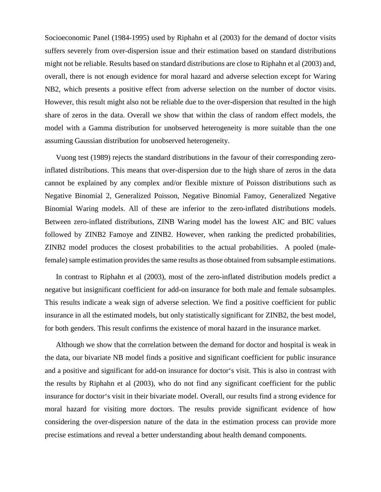Socioeconomic Panel (1984-1995) used by Riphahn et al (2003) for the demand of doctor visits suffers severely from over-dispersion issue and their estimation based on standard distributions might not be reliable. Results based on standard distributions are close to Riphahn et al (2003) and, overall, there is not enough evidence for moral hazard and adverse selection except for Waring NB2, which presents a positive effect from adverse selection on the number of doctor visits. However, this result might also not be reliable due to the over-dispersion that resulted in the high share of zeros in the data. Overall we show that within the class of random effect models, the model with a Gamma distribution for unobserved heterogeneity is more suitable than the one assuming Gaussian distribution for unobserved heterogeneity.

Vuong test (1989) rejects the standard distributions in the favour of their corresponding zeroinflated distributions. This means that over-dispersion due to the high share of zeros in the data cannot be explained by any complex and/or flexible mixture of Poisson distributions such as Negative Binomial 2, Generalized Poisson, Negative Binomial Famoy, Generalized Negative Binomial Waring models. All of these are inferior to the zero-inflated distributions models. Between zero-inflated distributions, ZINB Waring model has the lowest AIC and BIC values followed by ZINB2 Famoye and ZINB2. However, when ranking the predicted probabilities, ZINB2 model produces the closest probabilities to the actual probabilities. A pooled (malefemale) sample estimation provides the same results as those obtained from subsample estimations.

In contrast to Riphahn et al (2003), most of the zero-inflated distribution models predict a negative but insignificant coefficient for add-on insurance for both male and female subsamples. This results indicate a weak sign of adverse selection. We find a positive coefficient for public insurance in all the estimated models, but only statistically significant for ZINB2, the best model, for both genders. This result confirms the existence of moral hazard in the insurance market.

Although we show that the correlation between the demand for doctor and hospital is weak in the data, our bivariate NB model finds a positive and significant coefficient for public insurance and a positive and significant for add-on insurance for doctor's visit. This is also in contrast with the results by Riphahn et al (2003), who do not find any significant coefficient for the public insurance for doctor's visit in their bivariate model. Overall, our results find a strong evidence for moral hazard for visiting more doctors. The results provide significant evidence of how considering the over-dispersion nature of the data in the estimation process can provide more precise estimations and reveal a better understanding about health demand components.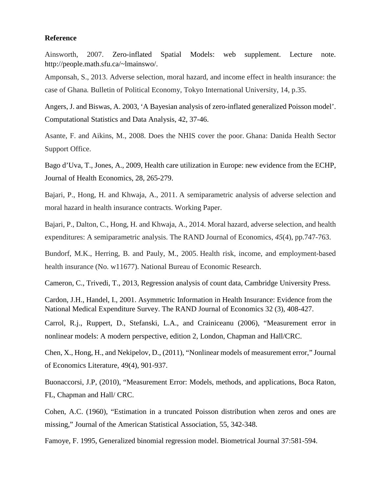### **Reference**

Ainsworth, 2007. Zero-inflated Spatial Models: web supplement. Lecture note. http://people.math.sfu.ca/~lmainswo/.

Amponsah, S., 2013. Adverse selection, moral hazard, and income effect in health insurance: the case of Ghana*.* Bulletin of Political Economy, Tokyo International University, 14, p.35.

Angers, J. and Biswas, A. 2003, 'A Bayesian analysis of zero-inflated generalized Poisson model'. Computational Statistics and Data Analysis, 42, 37-46.

Asante, F. and Aikins, M., 2008. Does the NHIS cover the poor. Ghana: Danida Health Sector Support Office.

Bago d'Uva, T., Jones, A., 2009, Health care utilization in Europe: new evidence from the ECHP, Journal of Health Economics, 28, 265-279.

Bajari, P., Hong, H. and Khwaja, A., 2011. A semiparametric analysis of adverse selection and moral hazard in health insurance contracts. Working Paper.

Bajari, P., Dalton, C., Hong, H. and Khwaja, A., 2014. Moral hazard, adverse selection, and health expenditures: A semiparametric analysis. The RAND Journal of Economics, *45*(4), pp.747-763.

Bundorf, M.K., Herring, B. and Pauly, M., 2005. Health risk, income, and employment-based health insurance (No. w11677). National Bureau of Economic Research.

Cameron, C., Trivedi, T., 2013, Regression analysis of count data, Cambridge University Press.

Cardon, J.H., Handel, I., 2001. Asymmetric Information in Health Insurance: Evidence from the National Medical Expenditure Survey. The RAND Journal of Economics 32 (3), 408-427.

Carrol, R.j., Ruppert, D., Stefanski, L.A., and Crainiceanu (2006), "Measurement error in nonlinear models: A modern perspective, edition 2, London, Chapman and Hall/CRC.

Chen, X., Hong, H., and Nekipelov, D., (2011), "Nonlinear models of measurement error," Journal of Economics Literature, 49(4), 901-937.

Buonaccorsi, J.P, (2010), "Measurement Error: Models, methods, and applications, Boca Raton, FL, Chapman and Hall/ CRC.

Cohen, A.C. (1960), "Estimation in a truncated Poisson distribution when zeros and ones are missing," Journal of the American Statistical Association, 55, 342-348.

Famoye, F. 1995, Generalized binomial regression model. Biometrical Journal 37:581-594.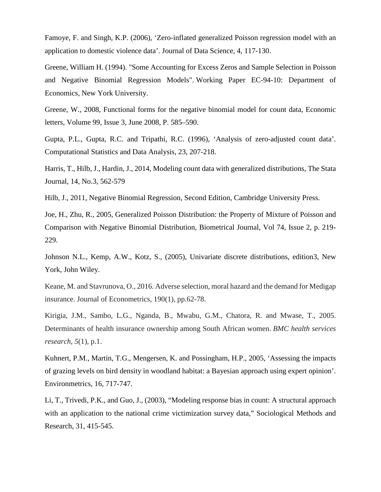Famoye, F. and Singh, K.P. (2006), 'Zero-inflated generalized Poisson regression model with an application to domestic violence data'. Journal of Data Science, 4, 117-130.

Greene, William H. (1994). ["Some Accounting for Excess Zeros and Sample Selection in Poisson](http://papers.ssrn.com/sol3/papers.cfm?abstract_id=1293115)  [and Negative Binomial Regression Models".](http://papers.ssrn.com/sol3/papers.cfm?abstract_id=1293115) Working Paper EC-94-10: Department of Economics, New York University.

Greene, W., 2008, Functional forms for the negative binomial model for count data, Economic letters, [Volume 99, Issue 3,](http://www.sciencedirect.com/science/journal/01651765/99/3) June 2008, P. 585–590.

Gupta, P.L., Gupta, R.C. and Tripathi, R.C. (1996), 'Analysis of zero-adjusted count data'. Computational Statistics and Data Analysis, 23, 207-218.

Harris, T., Hilb, J., Hardin, J., 2014, Modeling count data with generalized distributions, The Stata Journal, 14, No.3, 562-579

Hilb, J., 2011, Negative Binomial Regression, Second Edition, Cambridge University Press.

Joe, H., Zhu, R., 2005, Generalized Poisson Distribution: the Property of Mixture of Poisson and Comparison with Negative Binomial Distribution, [Biometrical Journal,](http://onlinelibrary.wiley.com/journal/10.1002/(ISSN)1521-4036) Vol 74, Issue 2, p. 219- 229.

Johnson N.L., Kemp, A.W., Kotz, S., (2005), Univariate discrete distributions, edition3, New York, John Wiley.

Keane, M. and Stavrunova, O., 2016. Adverse selection, moral hazard and the demand for Medigap insurance. Journal of Econometrics, 190(1), pp.62-78.

Kirigia, J.M., Sambo, L.G., Nganda, B., Mwabu, G.M., Chatora, R. and Mwase, T., 2005. Determinants of health insurance ownership among South African women. *BMC health services research*, *5*(1), p.1.

Kuhnert, P.M., Martin, T.G., Mengersen, K. and Possingham, H.P., 2005, 'Assessing the impacts of grazing levels on bird density in woodland habitat: a Bayesian approach using expert opinion'. Environmetrics, 16, 717-747.

Li, T., Trivedi, P.K., and Guo, J., (2003), "Modeling response bias in count: A structural approach with an application to the national crime victimization survey data," Sociological Methods and Research, 31, 415-545.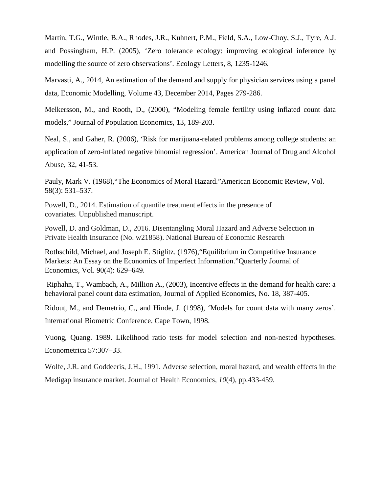Martin, T.G., Wintle, B.A., Rhodes, J.R., Kuhnert, P.M., Field, S.A., Low-Choy, S.J., Tyre, A.J. and Possingham, H.P. (2005), 'Zero tolerance ecology: improving ecological inference by modelling the source of zero observations'. Ecology Letters, 8, 1235-1246.

Marvasti, A., 2014, An estimation of the demand and supply for physician services using a panel data, Economic Modelling, Volume 43, December 2014, Pages 279-286.

Melkersson, M., and Rooth, D., (2000), "Modeling female fertility using inflated count data models," Journal of Population Economics, 13, 189-203.

Neal, S., and Gaher, R. (2006), 'Risk for marijuana-related problems among college students: an application of zero-inflated negative binomial regression'. American Journal of Drug and Alcohol Abuse, 32, 41-53.

Pauly, Mark V. (1968),"The Economics of Moral Hazard."American Economic Review, Vol. 58(3): 531–537.

Powell, D., 2014. Estimation of quantile treatment effects in the presence of covariates. Unpublished manuscript.

Powell, D. and Goldman, D., 2016. Disentangling Moral Hazard and Adverse Selection in Private Health Insurance (No. w21858). National Bureau of Economic Research

Rothschild, Michael, and Joseph E. Stiglitz. (1976),"Equilibrium in Competitive Insurance Markets: An Essay on the Economics of Imperfect Information."Quarterly Journal of Economics, Vol. 90(4): 629–649.

Riphahn, T., Wambach, A., Million A., (2003), Incentive effects in the demand for health care: a behavioral panel count data estimation, Journal of Applied Economics, No. 18, 387-405.

Ridout, M., and Demetrio, C., and Hinde, J. (1998), 'Models for count data with many zeros'. International Biometric Conference. Cape Town, 1998.

Vuong, Quang. 1989. Likelihood ratio tests for model selection and non-nested hypotheses. Econometrica 57:307–33.

Wolfe, J.R. and Goddeeris, J.H., 1991. Adverse selection, moral hazard, and wealth effects in the Medigap insurance market. Journal of Health Economics, *10*(4), pp.433-459.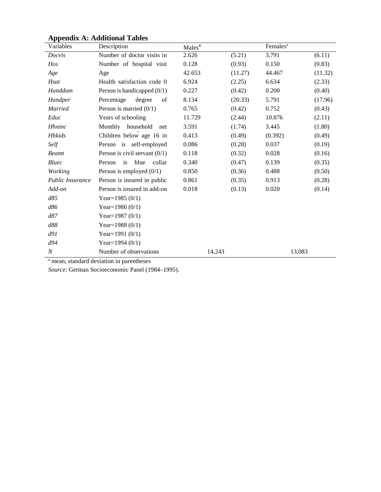| Variables               | Description                     | Males <sup>a</sup> |         | Females <sup>a</sup> |         |
|-------------------------|---------------------------------|--------------------|---------|----------------------|---------|
| Docvis                  | Number of doctor visits in      | 2.626              | (5.21)  | 3.791                | (6.11)  |
| Hos                     | Number of hospital visit        | 0.128              | (0.93)  | 0.150                | (0.83)  |
| Age                     | Age                             | 42.653             | (11.27) | 44.467               | (11.32) |
| Hsat                    | Health satisfaction code 0      | 6.924              | (2.25)  | 6.634                | (2.33)  |
| Handdum                 | Person is handicapped $(0/1)$   | 0.227              | (0.42)  | 0.200                | (0.40)  |
| Handper                 | Percentage<br>degree<br>of      | 8.134              | (20.33) | 5.791                | (17.96) |
| <b>Married</b>          | Person is married $(0/1)$       | 0.765              | (0.42)  | 0.752                | (0.43)  |
| Educ                    | Years of schooling              | 11.729             | (2.44)  | 10.876               | (2.11)  |
| Hhninc                  | Monthly household<br>net        | 3.591              | (1.74)  | 3.445                | (1.80)  |
| <b>Hhkids</b>           | Children below age 16 in        | 0.413              | (0.49)  | (0.392)              | (0.49)  |
| Self                    | Person is self-employed         | 0.086              | (0.28)  | 0.037                | (0.19)  |
| <b>Beamt</b>            | Person is civil servant $(0/1)$ | 0.118              | (0.32)  | 0.028                | (0.16)  |
| <b>Bluec</b>            | Person is<br>blue<br>collar     | 0.340              | (0.47)  | 0.139                | (0.35)  |
| Working                 | Person is employed $(0/1)$      | 0.850              | (0.36)  | 0.488                | (0.50)  |
| <b>Public Insurance</b> | Person is insured in public     | 0.861              | (0.35)  | 0.913                | (0.28)  |
| Add-on                  | Person is insured in add-on     | 0.018              | (0.13)  | 0.020                | (0.14)  |
| d85                     | Year= $1985(0/1)$               |                    |         |                      |         |
| d86                     | Year= $1986(0/1)$               |                    |         |                      |         |
| d87                     | Year= $1987(0/1)$               |                    |         |                      |         |
| d88                     | Year= $1988(0/1)$               |                    |         |                      |         |
| d91                     | Year=1991 $(0/1)$               |                    |         |                      |         |
| d94                     | Year=1994 $(0/1)$               |                    |         |                      |         |
| $\boldsymbol{N}$        | Number of observations          | 14,243             |         | 13,083               |         |

# **Appendix A: Additional Tables**

<sup>a</sup> mean, standard deviation in parentheses

*Source*: German Socioeconomic Panel (1984–1995).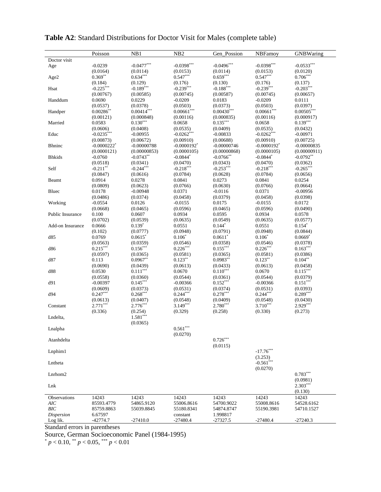|                   | Poisson                   | NB1                     | NB <sub>2</sub>                    | Gen Possion             | NBFamoy                   | GNBWaring              |
|-------------------|---------------------------|-------------------------|------------------------------------|-------------------------|---------------------------|------------------------|
| Doctor visit      |                           |                         |                                    |                         |                           |                        |
| Age               | $-0.0239$<br>(0.0164)     | $-0.0477***$            | $-0.0398***$                       | $-0.0496***$            | $-0.0398***$              | $-0.0533***$           |
|                   | $0.369**$                 | (0.0114)<br>$0.634***$  | (0.0153)<br>$0.547***$             | (0.0114)<br>$0.659***$  | (0.0153)<br>$0.547***$    | (0.0120)<br>$0.706***$ |
| Age2              | (0.184)                   | (0.129)                 | (0.176)                            | (0.130)                 | (0.176)                   | (0.137)                |
| Hsat              | $-0.225***$               | $-0.189$ <sup>***</sup> | $-0.239***$                        | $-0.188$ <sup>***</sup> | $-0.239***$               | $-0.203***$            |
|                   | (0.00767)                 | (0.00585)               | (0.00745)                          | (0.00587)               | (0.00745)                 | (0.00657)              |
| Handdum           | 0.0690                    | 0.0229                  | $-0.0209$                          | 0.0183                  | $-0.0209$                 | 0.0111                 |
|                   | (0.0537)                  | (0.0378)                | (0.0503)                           | (0.0373)                | (0.0503)                  | (0.0397)               |
| Handper           | $0.00286^{**}$            | $0.00414***$            | $0.00661***$                       | $0.00430***$            | $0.00661***$              | $0.00505***$           |
|                   | (0.00121)                 | (0.000848)              | (0.00116)                          | (0.000835)              | (0.00116)                 | (0.000917)             |
| Married           | 0.0583                    | $0.130***$              | 0.0658                             | $0.135***$              | 0.0658                    | $0.139***$             |
|                   | (0.0606)                  | (0.0408)                | (0.0535)                           | (0.0409)                | (0.0535)                  | (0.0432)               |
| Educ              | $-0.0235***$              | $-0.00955$              | $-0.0262***$                       | $-0.00833$              | $-0.0262***$              | $-0.00971$             |
|                   | (0.00873)                 | (0.00672)               | (0.00910)                          | (0.00688)               | (0.00910)                 | (0.00725)              |
| <b>Bhninc</b>     | $-0.0000222$ <sup>*</sup> | $-0.00000788$           | $-0.0000192$ <sup>*</sup>          | $-0.00000746$           | $-0.0000192$ <sup>*</sup> | $-0.00000835$          |
|                   | (0.0000121)               | (0.00000853)            | (0.0000105)                        | (0.00000868)            | (0.0000105)               | (0.00000911)           |
| <b>Bhkids</b>     | $-0.0760$                 | $-0.0743**$             | $-0.0844*$                         | $-0.0766$ **            | $-0.0844*$                | $-0.0792**$            |
|                   | (0.0518)                  | (0.0341)                | (0.0470)                           | (0.0343)                | (0.0470)                  | (0.0362)               |
| Self              | $-0.211$ **               | $-0.244***$             | $-0.218***$                        | $-0.253***$             | $-0.218***$               | $-0.265***$            |
|                   | (0.0847)                  | (0.0616)                | (0.0784)                           | (0.0628)                | (0.0784)                  | (0.0656)               |
| Beamt             | 0.0914                    | 0.0278                  | 0.0841                             | 0.0273                  | 0.0841                    | 0.0254                 |
|                   | (0.0809)                  | (0.0623)                | (0.0766)                           | (0.0630)                | (0.0766)                  | (0.0664)               |
| Bluec             | 0.0178<br>(0.0486)        | $-0.00948$<br>(0.0374)  | 0.0371<br>(0.0458)                 | $-0.0116$<br>(0.0379)   | 0.0371<br>(0.0458)        | $-0.00956$<br>(0.0398) |
| Working           | $-0.0554$                 | 0.0126                  | $-0.0155$                          | 0.0175                  | $-0.0155$                 | 0.0172                 |
|                   | (0.0668)                  | (0.0465)                | (0.0596)                           | (0.0465)                | (0.0596)                  | (0.0490)               |
| Public Insurance  | 0.100                     | 0.0607                  | 0.0934                             | 0.0595                  | 0.0934                    | 0.0578                 |
|                   | (0.0702)                  | (0.0539)                | (0.0635)                           | (0.0549)                | (0.0635)                  | (0.0577)               |
| Add-on Insurance  | 0.0666                    | $0.139*$                | 0.0551                             | $0.144*$                | 0.0551                    | $0.154*$               |
|                   | (0.102)                   | (0.0777)                | (0.0948)                           | (0.0791)                | (0.0948)                  | (0.0844)               |
| d85               | 0.0769                    | 0.0615                  | $0.106*$                           | $0.0611$ *              | $0.106*$                  | $0.0669*$              |
|                   | (0.0563)                  | (0.0359)                | (0.0546)                           | (0.0358)                | (0.0546)                  | (0.0378)               |
| d86               | $0.215***$                | $0.156***$              | $0.226***$                         | $0.155***$              | $0.226***$                | $0.163***$             |
|                   | (0.0597)                  | (0.0365)                | (0.0581)                           | (0.0365)                | (0.0581)                  | (0.0386)               |
| d87               | 0.113                     | $0.0967**$              | $0.123***$                         | $0.0983**$              | $0.123***$                | $0.104***$             |
|                   | (0.0690)                  | (0.0439)                | (0.0613)                           | (0.0433)                | (0.0613)                  | (0.0458)               |
| d88               | 0.0530                    | $0.111***$              | 0.0670                             | $0.110***$              | 0.0670                    | $0.115***$             |
|                   | (0.0558)                  | (0.0360)                | (0.0544)                           | (0.0361)                | (0.0544)                  | (0.0379)               |
| d91               | $-0.00397$                | $0.145***$              | $-0.00366$                         | $0.152***$              | $-0.00366$                | $0.151***$             |
|                   | (0.0609)                  | (0.0373)                | (0.0531)                           | (0.0374)                | (0.0531)                  | (0.0393)               |
| d94               | $0.247***$                | $0.268***$              | $0.244***$                         | $0.278***$              | $0.244***$                | $0.289***$             |
|                   | (0.0613)                  | (0.0407)                | (0.0548)                           | (0.0409)                | (0.0548)                  | (0.0430)               |
| Constant          | $2.771***$                | $2.776***$              | $3.149***$                         | $2.780***$              | $3.710***$                | $2.929***$             |
|                   | (0.336)                   | (0.254)<br>$1.581***$   | (0.329)                            | (0.258)                 | (0.330)                   | (0.273)                |
| Lndelta,          |                           |                         |                                    |                         |                           |                        |
|                   |                           | (0.0365)                |                                    |                         |                           |                        |
| Lnalpha           |                           |                         | $0.561^{\ast\ast\ast}$<br>(0.0270) |                         |                           |                        |
|                   |                           |                         |                                    | $0.726***$              |                           |                        |
| Atanhdelta        |                           |                         |                                    |                         |                           |                        |
|                   |                           |                         |                                    | (0.0115)                | $-17.76***$               |                        |
| Lnphim1           |                           |                         |                                    |                         | (3.253)                   |                        |
| Lntheta           |                           |                         |                                    |                         | $-0.561***$               |                        |
|                   |                           |                         |                                    |                         | (0.0270)                  |                        |
| Lnrhom2           |                           |                         |                                    |                         |                           | $0.783***$             |
|                   |                           |                         |                                    |                         |                           | (0.0981)               |
| Lnk               |                           |                         |                                    |                         |                           | $2.303***$             |
|                   |                           |                         |                                    |                         |                           | (0.130)                |
| Observations      | 14243                     | 14243                   | 14243                              | 14243                   | 14243                     | 14243                  |
| AIC               | 85593.4779                | 54865.9120              | 55006.8616                         | 54700.9022              | 55008.8616                | 54528.6162             |
| BIC               | 85759.8863                | 55039.8845              | 55180.8341                         | 54874.8747              | 55190.3981                | 54710.1527             |
| <b>Dispersion</b> | 6.67597                   |                         | constant                           | 1.998817                |                           |                        |
| Log lik.          | $-42774.7$                | $-27410.0$              | $-27480.4$                         | $-27327.5$              | $-27480.4$                | $-27240.3$             |

# **Table A2**: Standard Distributions for Doctor Visit for Males (complete table)

Standard errors in parentheses

Source, German Socioeconomic Panel (1984-1995)

\* *p* < 0.10, \*\* *p* < 0.05, \*\*\* *p* < 0.01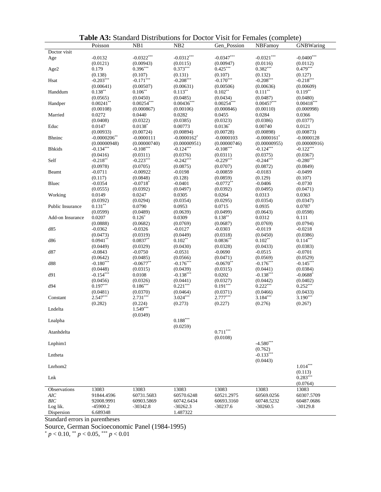| Doctor visit<br>$-0.0400***$<br>$-0.0322***$<br>$-0.0312***$<br>$-0.0347***$<br>$-0.0321***$<br>$-0.0132$<br>Age<br>(0.0121)<br>(0.00943)<br>(0.0115)<br>(0.00947)<br>(0.0116)<br>(0.0112)<br>$0.425***$<br>$0.479***$<br>$0.396***$<br>$0.373***$<br>$0.382***$<br>0.179<br>Age2<br>(0.138)<br>(0.132)<br>(0.127)<br>(0.107)<br>(0.131)<br>(0.107)<br>$-0.171$ ***<br>$-0.203***$<br>$-0.208***$<br>$-0.208***$<br>$-0.218***$<br>$-0.170***$<br>Hsat<br>(0.00641)<br>(0.00507)<br>(0.00631)<br>(0.00506)<br>(0.00636)<br>(0.00609)<br>$0.138***$<br>$0.113***$<br>$0.111***$<br>$0.119***$<br>$0.106^{**}$<br>$0.102**$<br>Handdum<br>(0.0565)<br>(0.0450)<br>(0.0485)<br>(0.0434)<br>(0.0487)<br>(0.0480)<br>$0.00254***$<br>$0.00254***$<br>$0.00457***$<br>$0.00418***$<br>$0.00241**$<br>$0.00436***$<br>Handper<br>(0.00108)<br>(0.000998)<br>(0.000867)<br>(0.00106)<br>(0.000846)<br>(0.00110)<br>Married<br>0.0272<br>0.0440<br>0.0282<br>0.0455<br>0.0284<br>0.0366<br>(0.0386)<br>(0.0408)<br>(0.0322)<br>(0.0385)<br>(0.0323)<br>(0.0377)<br>$0.0138*$<br>Educ<br>0.0147<br>0.00773<br>$0.0136*$<br>0.00740<br>0.0121<br>(0.00933)<br>(0.00724)<br>(0.00894)<br>(0.00728)<br>(0.00898)<br>(0.00873)<br>$-0.0000206$ **<br><b>Bhninc</b><br>$-0.0000111$<br>$-0.0000162$ <sup>*</sup><br>$-0.0000103$<br>$-0.0000161$ *<br>$-0.0000128$<br>(0.00000740)<br>(0.00000746)<br>(0.00000955)<br>(0.00000948)<br>(0.00000951)<br>(0.00000916)<br>$-0.108***$<br>$-0.108***$<br>$-0.134***$<br>$-0.124***$<br>$-0.124***$<br>$-0.122***$<br><b>Bhkids</b><br>(0.0416)<br>(0.0311)<br>(0.0376)<br>(0.0375)<br>(0.0367)<br>(0.0311)<br>$-0.218**$<br>$-0.223***$<br>$-0.242***$<br>$-0.229***$<br>$-0.244***$<br>$-0.280***$<br>Self<br>(0.0978)<br>(0.0705)<br>(0.0875)<br>(0.0707)<br>(0.0872)<br>(0.0849)<br>$-0.0711$<br>$-0.00922$<br>$-0.0499$<br>$-0.0198$<br>$-0.00859$<br>$-0.0183$<br>Beamt<br>(0.117)<br>(0.0848)<br>(0.128)<br>(0.0859)<br>(0.129)<br>(0.107)<br>$-0.0354$<br>$-0.0718$ <sup>*</sup><br>$-0.0772**$<br>$-0.0406$<br>Bluec<br>$-0.0401$<br>$-0.0730$<br>(0.0555)<br>(0.0392)<br>(0.0497)<br>(0.0392)<br>(0.0495)<br>(0.0471)<br>0.0149<br>0.0247<br>0.0264<br>0.0313<br>0.0363<br>Working<br>0.0305<br>(0.0392)<br>(0.0294)<br>(0.0354)<br>(0.0295)<br>(0.0354)<br>(0.0347)<br>$0.131***$<br>0.0790<br>0.0953<br>0.0715<br>0.0935<br>0.0787<br>Public Insurance<br>(0.0599)<br>(0.0489)<br>(0.0499)<br>(0.0643)<br>(0.0598)<br>(0.0639)<br>$0.138***$<br>0.0207<br>$0.126*$<br>0.0312<br>0.0309<br>0.111<br>Add-on Insurance<br>(0.0769)<br>(0.0794)<br>(0.0888)<br>(0.0682)<br>(0.0769)<br>(0.0687)<br>$-0.0362$<br>$-0.0119$<br>$-0.0218$<br>d85<br>$-0.0326$<br>$-0.0127$<br>$-0.0303$<br>(0.0473)<br>(0.0319)<br>(0.0449)<br>(0.0318)<br>(0.0450)<br>(0.0386)<br>$0.114***$<br>$0.0941**$<br>$0.0837**$<br>$0.102**$<br>$0.0836**$<br>$0.102**$<br>d86<br>(0.0449)<br>(0.0329)<br>(0.0430)<br>(0.0328)<br>(0.0433)<br>(0.0383)<br>$-0.0843$<br>$-0.0515$<br>d87<br>$-0.0750$<br>$-0.0531$<br>$-0.0690$<br>$-0.0701$<br>(0.0642)<br>(0.0485)<br>(0.0566)<br>(0.0471)<br>(0.0569)<br>(0.0529)<br>$-0.180***$<br>$-0.176***$<br>$-0.0677**$<br>$-0.176***$<br>$-0.0670**$<br>$-0.145***$<br>d88<br>(0.0448)<br>(0.0315)<br>(0.0439)<br>(0.0315)<br>(0.0441)<br>(0.0384)<br>$-0.154***$<br>$-0.138***$<br>$-0.138***$<br>d91<br>0.0108<br>0.0202<br>$-0.0688*$<br>(0.0326)<br>(0.0456)<br>(0.0441)<br>(0.0327)<br>(0.0442)<br>(0.0402)<br>$0.222***$<br>$0.197***$<br>$0.186***$<br>$0.221***$<br>$0.191***$<br>$0.252***$<br>d94<br>(0.0370)<br>(0.0466)<br>(0.0433)<br>(0.0481)<br>(0.0464)<br>(0.0371)<br>$2.547***$<br>$2.731***$<br>$3.024***$<br>$2.777***$<br>$3.184***$<br>$3.190***$<br>Constant<br>(0.282)<br>(0.224)<br>(0.273)<br>(0.227)<br>(0.276)<br>(0.267)<br>$1.549***$<br>Lndelta<br>(0.0349)<br>$0.188^{\ast\ast\ast}$<br>Lnalpha<br>(0.0259)<br>$0.711***$<br>Atanhdelta<br>(0.0108)<br>$-4.580***$<br>Lnphim1<br>(0.762)<br>$-0.133***$<br>Lntheta<br>(0.0443)<br>$1.014***$<br>Lnrhom2<br>(0.113)<br>$0.283***$<br>Lnk<br>(0.0764)<br>13083<br>13083<br>13083<br>13083<br>13083<br>Observations<br>13083<br>AIC<br>60731.5683<br>60521.2975<br>60569.0256<br>60307.5709<br>91844.4596<br>60570.6248<br><b>BIC</b><br>60693.3160<br>60487.0686<br>92008.9991<br>60903.5869<br>60742.6434<br>60748.5232<br>Log lik.<br>$-45900.2$<br>$-30342.8$<br>$-30237.6$<br>$-30129.8$<br>$-30262.3$<br>$-30260.5$ |            | Poisson  | NB1 | N <sub>B</sub> 2 | Gen Possion | $\frac{1}{2}$<br>NBFamoy | $\triangleright$ . $\triangleright$ .<br>GNBWaring |
|------------------------------------------------------------------------------------------------------------------------------------------------------------------------------------------------------------------------------------------------------------------------------------------------------------------------------------------------------------------------------------------------------------------------------------------------------------------------------------------------------------------------------------------------------------------------------------------------------------------------------------------------------------------------------------------------------------------------------------------------------------------------------------------------------------------------------------------------------------------------------------------------------------------------------------------------------------------------------------------------------------------------------------------------------------------------------------------------------------------------------------------------------------------------------------------------------------------------------------------------------------------------------------------------------------------------------------------------------------------------------------------------------------------------------------------------------------------------------------------------------------------------------------------------------------------------------------------------------------------------------------------------------------------------------------------------------------------------------------------------------------------------------------------------------------------------------------------------------------------------------------------------------------------------------------------------------------------------------------------------------------------------------------------------------------------------------------------------------------------------------------------------------------------------------------------------------------------------------------------------------------------------------------------------------------------------------------------------------------------------------------------------------------------------------------------------------------------------------------------------------------------------------------------------------------------------------------------------------------------------------------------------------------------------------------------------------------------------------------------------------------------------------------------------------------------------------------------------------------------------------------------------------------------------------------------------------------------------------------------------------------------------------------------------------------------------------------------------------------------------------------------------------------------------------------------------------------------------------------------------------------------------------------------------------------------------------------------------------------------------------------------------------------------------------------------------------------------------------------------------------------------------------------------------------------------------------------------------------------------------------------------------------------------------------------------------------------------------------------------------------------------------------------------------------------------------------------------------------------------------------------------------------------------------------------------------------------------------------------------------------------------------------------------------------------------------------------------------------------------------------------------------------------------------------------------------------------------------------------------------------------------------------------------------------------------------------------------------------------------------------------------------------------------------------------------------------------|------------|----------|-----|------------------|-------------|--------------------------|----------------------------------------------------|
|                                                                                                                                                                                                                                                                                                                                                                                                                                                                                                                                                                                                                                                                                                                                                                                                                                                                                                                                                                                                                                                                                                                                                                                                                                                                                                                                                                                                                                                                                                                                                                                                                                                                                                                                                                                                                                                                                                                                                                                                                                                                                                                                                                                                                                                                                                                                                                                                                                                                                                                                                                                                                                                                                                                                                                                                                                                                                                                                                                                                                                                                                                                                                                                                                                                                                                                                                                                                                                                                                                                                                                                                                                                                                                                                                                                                                                                                                                                                                                                                                                                                                                                                                                                                                                                                                                                                                                                                                                                            |            |          |     |                  |             |                          |                                                    |
|                                                                                                                                                                                                                                                                                                                                                                                                                                                                                                                                                                                                                                                                                                                                                                                                                                                                                                                                                                                                                                                                                                                                                                                                                                                                                                                                                                                                                                                                                                                                                                                                                                                                                                                                                                                                                                                                                                                                                                                                                                                                                                                                                                                                                                                                                                                                                                                                                                                                                                                                                                                                                                                                                                                                                                                                                                                                                                                                                                                                                                                                                                                                                                                                                                                                                                                                                                                                                                                                                                                                                                                                                                                                                                                                                                                                                                                                                                                                                                                                                                                                                                                                                                                                                                                                                                                                                                                                                                                            |            |          |     |                  |             |                          |                                                    |
|                                                                                                                                                                                                                                                                                                                                                                                                                                                                                                                                                                                                                                                                                                                                                                                                                                                                                                                                                                                                                                                                                                                                                                                                                                                                                                                                                                                                                                                                                                                                                                                                                                                                                                                                                                                                                                                                                                                                                                                                                                                                                                                                                                                                                                                                                                                                                                                                                                                                                                                                                                                                                                                                                                                                                                                                                                                                                                                                                                                                                                                                                                                                                                                                                                                                                                                                                                                                                                                                                                                                                                                                                                                                                                                                                                                                                                                                                                                                                                                                                                                                                                                                                                                                                                                                                                                                                                                                                                                            |            |          |     |                  |             |                          |                                                    |
|                                                                                                                                                                                                                                                                                                                                                                                                                                                                                                                                                                                                                                                                                                                                                                                                                                                                                                                                                                                                                                                                                                                                                                                                                                                                                                                                                                                                                                                                                                                                                                                                                                                                                                                                                                                                                                                                                                                                                                                                                                                                                                                                                                                                                                                                                                                                                                                                                                                                                                                                                                                                                                                                                                                                                                                                                                                                                                                                                                                                                                                                                                                                                                                                                                                                                                                                                                                                                                                                                                                                                                                                                                                                                                                                                                                                                                                                                                                                                                                                                                                                                                                                                                                                                                                                                                                                                                                                                                                            |            |          |     |                  |             |                          |                                                    |
|                                                                                                                                                                                                                                                                                                                                                                                                                                                                                                                                                                                                                                                                                                                                                                                                                                                                                                                                                                                                                                                                                                                                                                                                                                                                                                                                                                                                                                                                                                                                                                                                                                                                                                                                                                                                                                                                                                                                                                                                                                                                                                                                                                                                                                                                                                                                                                                                                                                                                                                                                                                                                                                                                                                                                                                                                                                                                                                                                                                                                                                                                                                                                                                                                                                                                                                                                                                                                                                                                                                                                                                                                                                                                                                                                                                                                                                                                                                                                                                                                                                                                                                                                                                                                                                                                                                                                                                                                                                            |            |          |     |                  |             |                          |                                                    |
|                                                                                                                                                                                                                                                                                                                                                                                                                                                                                                                                                                                                                                                                                                                                                                                                                                                                                                                                                                                                                                                                                                                                                                                                                                                                                                                                                                                                                                                                                                                                                                                                                                                                                                                                                                                                                                                                                                                                                                                                                                                                                                                                                                                                                                                                                                                                                                                                                                                                                                                                                                                                                                                                                                                                                                                                                                                                                                                                                                                                                                                                                                                                                                                                                                                                                                                                                                                                                                                                                                                                                                                                                                                                                                                                                                                                                                                                                                                                                                                                                                                                                                                                                                                                                                                                                                                                                                                                                                                            |            |          |     |                  |             |                          |                                                    |
|                                                                                                                                                                                                                                                                                                                                                                                                                                                                                                                                                                                                                                                                                                                                                                                                                                                                                                                                                                                                                                                                                                                                                                                                                                                                                                                                                                                                                                                                                                                                                                                                                                                                                                                                                                                                                                                                                                                                                                                                                                                                                                                                                                                                                                                                                                                                                                                                                                                                                                                                                                                                                                                                                                                                                                                                                                                                                                                                                                                                                                                                                                                                                                                                                                                                                                                                                                                                                                                                                                                                                                                                                                                                                                                                                                                                                                                                                                                                                                                                                                                                                                                                                                                                                                                                                                                                                                                                                                                            |            |          |     |                  |             |                          |                                                    |
|                                                                                                                                                                                                                                                                                                                                                                                                                                                                                                                                                                                                                                                                                                                                                                                                                                                                                                                                                                                                                                                                                                                                                                                                                                                                                                                                                                                                                                                                                                                                                                                                                                                                                                                                                                                                                                                                                                                                                                                                                                                                                                                                                                                                                                                                                                                                                                                                                                                                                                                                                                                                                                                                                                                                                                                                                                                                                                                                                                                                                                                                                                                                                                                                                                                                                                                                                                                                                                                                                                                                                                                                                                                                                                                                                                                                                                                                                                                                                                                                                                                                                                                                                                                                                                                                                                                                                                                                                                                            |            |          |     |                  |             |                          |                                                    |
|                                                                                                                                                                                                                                                                                                                                                                                                                                                                                                                                                                                                                                                                                                                                                                                                                                                                                                                                                                                                                                                                                                                                                                                                                                                                                                                                                                                                                                                                                                                                                                                                                                                                                                                                                                                                                                                                                                                                                                                                                                                                                                                                                                                                                                                                                                                                                                                                                                                                                                                                                                                                                                                                                                                                                                                                                                                                                                                                                                                                                                                                                                                                                                                                                                                                                                                                                                                                                                                                                                                                                                                                                                                                                                                                                                                                                                                                                                                                                                                                                                                                                                                                                                                                                                                                                                                                                                                                                                                            |            |          |     |                  |             |                          |                                                    |
|                                                                                                                                                                                                                                                                                                                                                                                                                                                                                                                                                                                                                                                                                                                                                                                                                                                                                                                                                                                                                                                                                                                                                                                                                                                                                                                                                                                                                                                                                                                                                                                                                                                                                                                                                                                                                                                                                                                                                                                                                                                                                                                                                                                                                                                                                                                                                                                                                                                                                                                                                                                                                                                                                                                                                                                                                                                                                                                                                                                                                                                                                                                                                                                                                                                                                                                                                                                                                                                                                                                                                                                                                                                                                                                                                                                                                                                                                                                                                                                                                                                                                                                                                                                                                                                                                                                                                                                                                                                            |            |          |     |                  |             |                          |                                                    |
|                                                                                                                                                                                                                                                                                                                                                                                                                                                                                                                                                                                                                                                                                                                                                                                                                                                                                                                                                                                                                                                                                                                                                                                                                                                                                                                                                                                                                                                                                                                                                                                                                                                                                                                                                                                                                                                                                                                                                                                                                                                                                                                                                                                                                                                                                                                                                                                                                                                                                                                                                                                                                                                                                                                                                                                                                                                                                                                                                                                                                                                                                                                                                                                                                                                                                                                                                                                                                                                                                                                                                                                                                                                                                                                                                                                                                                                                                                                                                                                                                                                                                                                                                                                                                                                                                                                                                                                                                                                            |            |          |     |                  |             |                          |                                                    |
|                                                                                                                                                                                                                                                                                                                                                                                                                                                                                                                                                                                                                                                                                                                                                                                                                                                                                                                                                                                                                                                                                                                                                                                                                                                                                                                                                                                                                                                                                                                                                                                                                                                                                                                                                                                                                                                                                                                                                                                                                                                                                                                                                                                                                                                                                                                                                                                                                                                                                                                                                                                                                                                                                                                                                                                                                                                                                                                                                                                                                                                                                                                                                                                                                                                                                                                                                                                                                                                                                                                                                                                                                                                                                                                                                                                                                                                                                                                                                                                                                                                                                                                                                                                                                                                                                                                                                                                                                                                            |            |          |     |                  |             |                          |                                                    |
|                                                                                                                                                                                                                                                                                                                                                                                                                                                                                                                                                                                                                                                                                                                                                                                                                                                                                                                                                                                                                                                                                                                                                                                                                                                                                                                                                                                                                                                                                                                                                                                                                                                                                                                                                                                                                                                                                                                                                                                                                                                                                                                                                                                                                                                                                                                                                                                                                                                                                                                                                                                                                                                                                                                                                                                                                                                                                                                                                                                                                                                                                                                                                                                                                                                                                                                                                                                                                                                                                                                                                                                                                                                                                                                                                                                                                                                                                                                                                                                                                                                                                                                                                                                                                                                                                                                                                                                                                                                            |            |          |     |                  |             |                          |                                                    |
|                                                                                                                                                                                                                                                                                                                                                                                                                                                                                                                                                                                                                                                                                                                                                                                                                                                                                                                                                                                                                                                                                                                                                                                                                                                                                                                                                                                                                                                                                                                                                                                                                                                                                                                                                                                                                                                                                                                                                                                                                                                                                                                                                                                                                                                                                                                                                                                                                                                                                                                                                                                                                                                                                                                                                                                                                                                                                                                                                                                                                                                                                                                                                                                                                                                                                                                                                                                                                                                                                                                                                                                                                                                                                                                                                                                                                                                                                                                                                                                                                                                                                                                                                                                                                                                                                                                                                                                                                                                            |            |          |     |                  |             |                          |                                                    |
|                                                                                                                                                                                                                                                                                                                                                                                                                                                                                                                                                                                                                                                                                                                                                                                                                                                                                                                                                                                                                                                                                                                                                                                                                                                                                                                                                                                                                                                                                                                                                                                                                                                                                                                                                                                                                                                                                                                                                                                                                                                                                                                                                                                                                                                                                                                                                                                                                                                                                                                                                                                                                                                                                                                                                                                                                                                                                                                                                                                                                                                                                                                                                                                                                                                                                                                                                                                                                                                                                                                                                                                                                                                                                                                                                                                                                                                                                                                                                                                                                                                                                                                                                                                                                                                                                                                                                                                                                                                            |            |          |     |                  |             |                          |                                                    |
|                                                                                                                                                                                                                                                                                                                                                                                                                                                                                                                                                                                                                                                                                                                                                                                                                                                                                                                                                                                                                                                                                                                                                                                                                                                                                                                                                                                                                                                                                                                                                                                                                                                                                                                                                                                                                                                                                                                                                                                                                                                                                                                                                                                                                                                                                                                                                                                                                                                                                                                                                                                                                                                                                                                                                                                                                                                                                                                                                                                                                                                                                                                                                                                                                                                                                                                                                                                                                                                                                                                                                                                                                                                                                                                                                                                                                                                                                                                                                                                                                                                                                                                                                                                                                                                                                                                                                                                                                                                            |            |          |     |                  |             |                          |                                                    |
|                                                                                                                                                                                                                                                                                                                                                                                                                                                                                                                                                                                                                                                                                                                                                                                                                                                                                                                                                                                                                                                                                                                                                                                                                                                                                                                                                                                                                                                                                                                                                                                                                                                                                                                                                                                                                                                                                                                                                                                                                                                                                                                                                                                                                                                                                                                                                                                                                                                                                                                                                                                                                                                                                                                                                                                                                                                                                                                                                                                                                                                                                                                                                                                                                                                                                                                                                                                                                                                                                                                                                                                                                                                                                                                                                                                                                                                                                                                                                                                                                                                                                                                                                                                                                                                                                                                                                                                                                                                            |            |          |     |                  |             |                          |                                                    |
|                                                                                                                                                                                                                                                                                                                                                                                                                                                                                                                                                                                                                                                                                                                                                                                                                                                                                                                                                                                                                                                                                                                                                                                                                                                                                                                                                                                                                                                                                                                                                                                                                                                                                                                                                                                                                                                                                                                                                                                                                                                                                                                                                                                                                                                                                                                                                                                                                                                                                                                                                                                                                                                                                                                                                                                                                                                                                                                                                                                                                                                                                                                                                                                                                                                                                                                                                                                                                                                                                                                                                                                                                                                                                                                                                                                                                                                                                                                                                                                                                                                                                                                                                                                                                                                                                                                                                                                                                                                            |            |          |     |                  |             |                          |                                                    |
|                                                                                                                                                                                                                                                                                                                                                                                                                                                                                                                                                                                                                                                                                                                                                                                                                                                                                                                                                                                                                                                                                                                                                                                                                                                                                                                                                                                                                                                                                                                                                                                                                                                                                                                                                                                                                                                                                                                                                                                                                                                                                                                                                                                                                                                                                                                                                                                                                                                                                                                                                                                                                                                                                                                                                                                                                                                                                                                                                                                                                                                                                                                                                                                                                                                                                                                                                                                                                                                                                                                                                                                                                                                                                                                                                                                                                                                                                                                                                                                                                                                                                                                                                                                                                                                                                                                                                                                                                                                            |            |          |     |                  |             |                          |                                                    |
|                                                                                                                                                                                                                                                                                                                                                                                                                                                                                                                                                                                                                                                                                                                                                                                                                                                                                                                                                                                                                                                                                                                                                                                                                                                                                                                                                                                                                                                                                                                                                                                                                                                                                                                                                                                                                                                                                                                                                                                                                                                                                                                                                                                                                                                                                                                                                                                                                                                                                                                                                                                                                                                                                                                                                                                                                                                                                                                                                                                                                                                                                                                                                                                                                                                                                                                                                                                                                                                                                                                                                                                                                                                                                                                                                                                                                                                                                                                                                                                                                                                                                                                                                                                                                                                                                                                                                                                                                                                            |            |          |     |                  |             |                          |                                                    |
|                                                                                                                                                                                                                                                                                                                                                                                                                                                                                                                                                                                                                                                                                                                                                                                                                                                                                                                                                                                                                                                                                                                                                                                                                                                                                                                                                                                                                                                                                                                                                                                                                                                                                                                                                                                                                                                                                                                                                                                                                                                                                                                                                                                                                                                                                                                                                                                                                                                                                                                                                                                                                                                                                                                                                                                                                                                                                                                                                                                                                                                                                                                                                                                                                                                                                                                                                                                                                                                                                                                                                                                                                                                                                                                                                                                                                                                                                                                                                                                                                                                                                                                                                                                                                                                                                                                                                                                                                                                            |            |          |     |                  |             |                          |                                                    |
|                                                                                                                                                                                                                                                                                                                                                                                                                                                                                                                                                                                                                                                                                                                                                                                                                                                                                                                                                                                                                                                                                                                                                                                                                                                                                                                                                                                                                                                                                                                                                                                                                                                                                                                                                                                                                                                                                                                                                                                                                                                                                                                                                                                                                                                                                                                                                                                                                                                                                                                                                                                                                                                                                                                                                                                                                                                                                                                                                                                                                                                                                                                                                                                                                                                                                                                                                                                                                                                                                                                                                                                                                                                                                                                                                                                                                                                                                                                                                                                                                                                                                                                                                                                                                                                                                                                                                                                                                                                            |            |          |     |                  |             |                          |                                                    |
|                                                                                                                                                                                                                                                                                                                                                                                                                                                                                                                                                                                                                                                                                                                                                                                                                                                                                                                                                                                                                                                                                                                                                                                                                                                                                                                                                                                                                                                                                                                                                                                                                                                                                                                                                                                                                                                                                                                                                                                                                                                                                                                                                                                                                                                                                                                                                                                                                                                                                                                                                                                                                                                                                                                                                                                                                                                                                                                                                                                                                                                                                                                                                                                                                                                                                                                                                                                                                                                                                                                                                                                                                                                                                                                                                                                                                                                                                                                                                                                                                                                                                                                                                                                                                                                                                                                                                                                                                                                            |            |          |     |                  |             |                          |                                                    |
|                                                                                                                                                                                                                                                                                                                                                                                                                                                                                                                                                                                                                                                                                                                                                                                                                                                                                                                                                                                                                                                                                                                                                                                                                                                                                                                                                                                                                                                                                                                                                                                                                                                                                                                                                                                                                                                                                                                                                                                                                                                                                                                                                                                                                                                                                                                                                                                                                                                                                                                                                                                                                                                                                                                                                                                                                                                                                                                                                                                                                                                                                                                                                                                                                                                                                                                                                                                                                                                                                                                                                                                                                                                                                                                                                                                                                                                                                                                                                                                                                                                                                                                                                                                                                                                                                                                                                                                                                                                            |            |          |     |                  |             |                          |                                                    |
|                                                                                                                                                                                                                                                                                                                                                                                                                                                                                                                                                                                                                                                                                                                                                                                                                                                                                                                                                                                                                                                                                                                                                                                                                                                                                                                                                                                                                                                                                                                                                                                                                                                                                                                                                                                                                                                                                                                                                                                                                                                                                                                                                                                                                                                                                                                                                                                                                                                                                                                                                                                                                                                                                                                                                                                                                                                                                                                                                                                                                                                                                                                                                                                                                                                                                                                                                                                                                                                                                                                                                                                                                                                                                                                                                                                                                                                                                                                                                                                                                                                                                                                                                                                                                                                                                                                                                                                                                                                            |            |          |     |                  |             |                          |                                                    |
|                                                                                                                                                                                                                                                                                                                                                                                                                                                                                                                                                                                                                                                                                                                                                                                                                                                                                                                                                                                                                                                                                                                                                                                                                                                                                                                                                                                                                                                                                                                                                                                                                                                                                                                                                                                                                                                                                                                                                                                                                                                                                                                                                                                                                                                                                                                                                                                                                                                                                                                                                                                                                                                                                                                                                                                                                                                                                                                                                                                                                                                                                                                                                                                                                                                                                                                                                                                                                                                                                                                                                                                                                                                                                                                                                                                                                                                                                                                                                                                                                                                                                                                                                                                                                                                                                                                                                                                                                                                            |            |          |     |                  |             |                          |                                                    |
|                                                                                                                                                                                                                                                                                                                                                                                                                                                                                                                                                                                                                                                                                                                                                                                                                                                                                                                                                                                                                                                                                                                                                                                                                                                                                                                                                                                                                                                                                                                                                                                                                                                                                                                                                                                                                                                                                                                                                                                                                                                                                                                                                                                                                                                                                                                                                                                                                                                                                                                                                                                                                                                                                                                                                                                                                                                                                                                                                                                                                                                                                                                                                                                                                                                                                                                                                                                                                                                                                                                                                                                                                                                                                                                                                                                                                                                                                                                                                                                                                                                                                                                                                                                                                                                                                                                                                                                                                                                            |            |          |     |                  |             |                          |                                                    |
|                                                                                                                                                                                                                                                                                                                                                                                                                                                                                                                                                                                                                                                                                                                                                                                                                                                                                                                                                                                                                                                                                                                                                                                                                                                                                                                                                                                                                                                                                                                                                                                                                                                                                                                                                                                                                                                                                                                                                                                                                                                                                                                                                                                                                                                                                                                                                                                                                                                                                                                                                                                                                                                                                                                                                                                                                                                                                                                                                                                                                                                                                                                                                                                                                                                                                                                                                                                                                                                                                                                                                                                                                                                                                                                                                                                                                                                                                                                                                                                                                                                                                                                                                                                                                                                                                                                                                                                                                                                            |            |          |     |                  |             |                          |                                                    |
|                                                                                                                                                                                                                                                                                                                                                                                                                                                                                                                                                                                                                                                                                                                                                                                                                                                                                                                                                                                                                                                                                                                                                                                                                                                                                                                                                                                                                                                                                                                                                                                                                                                                                                                                                                                                                                                                                                                                                                                                                                                                                                                                                                                                                                                                                                                                                                                                                                                                                                                                                                                                                                                                                                                                                                                                                                                                                                                                                                                                                                                                                                                                                                                                                                                                                                                                                                                                                                                                                                                                                                                                                                                                                                                                                                                                                                                                                                                                                                                                                                                                                                                                                                                                                                                                                                                                                                                                                                                            |            |          |     |                  |             |                          |                                                    |
|                                                                                                                                                                                                                                                                                                                                                                                                                                                                                                                                                                                                                                                                                                                                                                                                                                                                                                                                                                                                                                                                                                                                                                                                                                                                                                                                                                                                                                                                                                                                                                                                                                                                                                                                                                                                                                                                                                                                                                                                                                                                                                                                                                                                                                                                                                                                                                                                                                                                                                                                                                                                                                                                                                                                                                                                                                                                                                                                                                                                                                                                                                                                                                                                                                                                                                                                                                                                                                                                                                                                                                                                                                                                                                                                                                                                                                                                                                                                                                                                                                                                                                                                                                                                                                                                                                                                                                                                                                                            |            |          |     |                  |             |                          |                                                    |
|                                                                                                                                                                                                                                                                                                                                                                                                                                                                                                                                                                                                                                                                                                                                                                                                                                                                                                                                                                                                                                                                                                                                                                                                                                                                                                                                                                                                                                                                                                                                                                                                                                                                                                                                                                                                                                                                                                                                                                                                                                                                                                                                                                                                                                                                                                                                                                                                                                                                                                                                                                                                                                                                                                                                                                                                                                                                                                                                                                                                                                                                                                                                                                                                                                                                                                                                                                                                                                                                                                                                                                                                                                                                                                                                                                                                                                                                                                                                                                                                                                                                                                                                                                                                                                                                                                                                                                                                                                                            |            |          |     |                  |             |                          |                                                    |
|                                                                                                                                                                                                                                                                                                                                                                                                                                                                                                                                                                                                                                                                                                                                                                                                                                                                                                                                                                                                                                                                                                                                                                                                                                                                                                                                                                                                                                                                                                                                                                                                                                                                                                                                                                                                                                                                                                                                                                                                                                                                                                                                                                                                                                                                                                                                                                                                                                                                                                                                                                                                                                                                                                                                                                                                                                                                                                                                                                                                                                                                                                                                                                                                                                                                                                                                                                                                                                                                                                                                                                                                                                                                                                                                                                                                                                                                                                                                                                                                                                                                                                                                                                                                                                                                                                                                                                                                                                                            |            |          |     |                  |             |                          |                                                    |
|                                                                                                                                                                                                                                                                                                                                                                                                                                                                                                                                                                                                                                                                                                                                                                                                                                                                                                                                                                                                                                                                                                                                                                                                                                                                                                                                                                                                                                                                                                                                                                                                                                                                                                                                                                                                                                                                                                                                                                                                                                                                                                                                                                                                                                                                                                                                                                                                                                                                                                                                                                                                                                                                                                                                                                                                                                                                                                                                                                                                                                                                                                                                                                                                                                                                                                                                                                                                                                                                                                                                                                                                                                                                                                                                                                                                                                                                                                                                                                                                                                                                                                                                                                                                                                                                                                                                                                                                                                                            |            |          |     |                  |             |                          |                                                    |
|                                                                                                                                                                                                                                                                                                                                                                                                                                                                                                                                                                                                                                                                                                                                                                                                                                                                                                                                                                                                                                                                                                                                                                                                                                                                                                                                                                                                                                                                                                                                                                                                                                                                                                                                                                                                                                                                                                                                                                                                                                                                                                                                                                                                                                                                                                                                                                                                                                                                                                                                                                                                                                                                                                                                                                                                                                                                                                                                                                                                                                                                                                                                                                                                                                                                                                                                                                                                                                                                                                                                                                                                                                                                                                                                                                                                                                                                                                                                                                                                                                                                                                                                                                                                                                                                                                                                                                                                                                                            |            |          |     |                  |             |                          |                                                    |
|                                                                                                                                                                                                                                                                                                                                                                                                                                                                                                                                                                                                                                                                                                                                                                                                                                                                                                                                                                                                                                                                                                                                                                                                                                                                                                                                                                                                                                                                                                                                                                                                                                                                                                                                                                                                                                                                                                                                                                                                                                                                                                                                                                                                                                                                                                                                                                                                                                                                                                                                                                                                                                                                                                                                                                                                                                                                                                                                                                                                                                                                                                                                                                                                                                                                                                                                                                                                                                                                                                                                                                                                                                                                                                                                                                                                                                                                                                                                                                                                                                                                                                                                                                                                                                                                                                                                                                                                                                                            |            |          |     |                  |             |                          |                                                    |
|                                                                                                                                                                                                                                                                                                                                                                                                                                                                                                                                                                                                                                                                                                                                                                                                                                                                                                                                                                                                                                                                                                                                                                                                                                                                                                                                                                                                                                                                                                                                                                                                                                                                                                                                                                                                                                                                                                                                                                                                                                                                                                                                                                                                                                                                                                                                                                                                                                                                                                                                                                                                                                                                                                                                                                                                                                                                                                                                                                                                                                                                                                                                                                                                                                                                                                                                                                                                                                                                                                                                                                                                                                                                                                                                                                                                                                                                                                                                                                                                                                                                                                                                                                                                                                                                                                                                                                                                                                                            |            |          |     |                  |             |                          |                                                    |
|                                                                                                                                                                                                                                                                                                                                                                                                                                                                                                                                                                                                                                                                                                                                                                                                                                                                                                                                                                                                                                                                                                                                                                                                                                                                                                                                                                                                                                                                                                                                                                                                                                                                                                                                                                                                                                                                                                                                                                                                                                                                                                                                                                                                                                                                                                                                                                                                                                                                                                                                                                                                                                                                                                                                                                                                                                                                                                                                                                                                                                                                                                                                                                                                                                                                                                                                                                                                                                                                                                                                                                                                                                                                                                                                                                                                                                                                                                                                                                                                                                                                                                                                                                                                                                                                                                                                                                                                                                                            |            |          |     |                  |             |                          |                                                    |
|                                                                                                                                                                                                                                                                                                                                                                                                                                                                                                                                                                                                                                                                                                                                                                                                                                                                                                                                                                                                                                                                                                                                                                                                                                                                                                                                                                                                                                                                                                                                                                                                                                                                                                                                                                                                                                                                                                                                                                                                                                                                                                                                                                                                                                                                                                                                                                                                                                                                                                                                                                                                                                                                                                                                                                                                                                                                                                                                                                                                                                                                                                                                                                                                                                                                                                                                                                                                                                                                                                                                                                                                                                                                                                                                                                                                                                                                                                                                                                                                                                                                                                                                                                                                                                                                                                                                                                                                                                                            |            |          |     |                  |             |                          |                                                    |
|                                                                                                                                                                                                                                                                                                                                                                                                                                                                                                                                                                                                                                                                                                                                                                                                                                                                                                                                                                                                                                                                                                                                                                                                                                                                                                                                                                                                                                                                                                                                                                                                                                                                                                                                                                                                                                                                                                                                                                                                                                                                                                                                                                                                                                                                                                                                                                                                                                                                                                                                                                                                                                                                                                                                                                                                                                                                                                                                                                                                                                                                                                                                                                                                                                                                                                                                                                                                                                                                                                                                                                                                                                                                                                                                                                                                                                                                                                                                                                                                                                                                                                                                                                                                                                                                                                                                                                                                                                                            |            |          |     |                  |             |                          |                                                    |
|                                                                                                                                                                                                                                                                                                                                                                                                                                                                                                                                                                                                                                                                                                                                                                                                                                                                                                                                                                                                                                                                                                                                                                                                                                                                                                                                                                                                                                                                                                                                                                                                                                                                                                                                                                                                                                                                                                                                                                                                                                                                                                                                                                                                                                                                                                                                                                                                                                                                                                                                                                                                                                                                                                                                                                                                                                                                                                                                                                                                                                                                                                                                                                                                                                                                                                                                                                                                                                                                                                                                                                                                                                                                                                                                                                                                                                                                                                                                                                                                                                                                                                                                                                                                                                                                                                                                                                                                                                                            |            |          |     |                  |             |                          |                                                    |
|                                                                                                                                                                                                                                                                                                                                                                                                                                                                                                                                                                                                                                                                                                                                                                                                                                                                                                                                                                                                                                                                                                                                                                                                                                                                                                                                                                                                                                                                                                                                                                                                                                                                                                                                                                                                                                                                                                                                                                                                                                                                                                                                                                                                                                                                                                                                                                                                                                                                                                                                                                                                                                                                                                                                                                                                                                                                                                                                                                                                                                                                                                                                                                                                                                                                                                                                                                                                                                                                                                                                                                                                                                                                                                                                                                                                                                                                                                                                                                                                                                                                                                                                                                                                                                                                                                                                                                                                                                                            |            |          |     |                  |             |                          |                                                    |
|                                                                                                                                                                                                                                                                                                                                                                                                                                                                                                                                                                                                                                                                                                                                                                                                                                                                                                                                                                                                                                                                                                                                                                                                                                                                                                                                                                                                                                                                                                                                                                                                                                                                                                                                                                                                                                                                                                                                                                                                                                                                                                                                                                                                                                                                                                                                                                                                                                                                                                                                                                                                                                                                                                                                                                                                                                                                                                                                                                                                                                                                                                                                                                                                                                                                                                                                                                                                                                                                                                                                                                                                                                                                                                                                                                                                                                                                                                                                                                                                                                                                                                                                                                                                                                                                                                                                                                                                                                                            |            |          |     |                  |             |                          |                                                    |
|                                                                                                                                                                                                                                                                                                                                                                                                                                                                                                                                                                                                                                                                                                                                                                                                                                                                                                                                                                                                                                                                                                                                                                                                                                                                                                                                                                                                                                                                                                                                                                                                                                                                                                                                                                                                                                                                                                                                                                                                                                                                                                                                                                                                                                                                                                                                                                                                                                                                                                                                                                                                                                                                                                                                                                                                                                                                                                                                                                                                                                                                                                                                                                                                                                                                                                                                                                                                                                                                                                                                                                                                                                                                                                                                                                                                                                                                                                                                                                                                                                                                                                                                                                                                                                                                                                                                                                                                                                                            |            |          |     |                  |             |                          |                                                    |
|                                                                                                                                                                                                                                                                                                                                                                                                                                                                                                                                                                                                                                                                                                                                                                                                                                                                                                                                                                                                                                                                                                                                                                                                                                                                                                                                                                                                                                                                                                                                                                                                                                                                                                                                                                                                                                                                                                                                                                                                                                                                                                                                                                                                                                                                                                                                                                                                                                                                                                                                                                                                                                                                                                                                                                                                                                                                                                                                                                                                                                                                                                                                                                                                                                                                                                                                                                                                                                                                                                                                                                                                                                                                                                                                                                                                                                                                                                                                                                                                                                                                                                                                                                                                                                                                                                                                                                                                                                                            |            |          |     |                  |             |                          |                                                    |
|                                                                                                                                                                                                                                                                                                                                                                                                                                                                                                                                                                                                                                                                                                                                                                                                                                                                                                                                                                                                                                                                                                                                                                                                                                                                                                                                                                                                                                                                                                                                                                                                                                                                                                                                                                                                                                                                                                                                                                                                                                                                                                                                                                                                                                                                                                                                                                                                                                                                                                                                                                                                                                                                                                                                                                                                                                                                                                                                                                                                                                                                                                                                                                                                                                                                                                                                                                                                                                                                                                                                                                                                                                                                                                                                                                                                                                                                                                                                                                                                                                                                                                                                                                                                                                                                                                                                                                                                                                                            |            |          |     |                  |             |                          |                                                    |
|                                                                                                                                                                                                                                                                                                                                                                                                                                                                                                                                                                                                                                                                                                                                                                                                                                                                                                                                                                                                                                                                                                                                                                                                                                                                                                                                                                                                                                                                                                                                                                                                                                                                                                                                                                                                                                                                                                                                                                                                                                                                                                                                                                                                                                                                                                                                                                                                                                                                                                                                                                                                                                                                                                                                                                                                                                                                                                                                                                                                                                                                                                                                                                                                                                                                                                                                                                                                                                                                                                                                                                                                                                                                                                                                                                                                                                                                                                                                                                                                                                                                                                                                                                                                                                                                                                                                                                                                                                                            |            |          |     |                  |             |                          |                                                    |
|                                                                                                                                                                                                                                                                                                                                                                                                                                                                                                                                                                                                                                                                                                                                                                                                                                                                                                                                                                                                                                                                                                                                                                                                                                                                                                                                                                                                                                                                                                                                                                                                                                                                                                                                                                                                                                                                                                                                                                                                                                                                                                                                                                                                                                                                                                                                                                                                                                                                                                                                                                                                                                                                                                                                                                                                                                                                                                                                                                                                                                                                                                                                                                                                                                                                                                                                                                                                                                                                                                                                                                                                                                                                                                                                                                                                                                                                                                                                                                                                                                                                                                                                                                                                                                                                                                                                                                                                                                                            |            |          |     |                  |             |                          |                                                    |
|                                                                                                                                                                                                                                                                                                                                                                                                                                                                                                                                                                                                                                                                                                                                                                                                                                                                                                                                                                                                                                                                                                                                                                                                                                                                                                                                                                                                                                                                                                                                                                                                                                                                                                                                                                                                                                                                                                                                                                                                                                                                                                                                                                                                                                                                                                                                                                                                                                                                                                                                                                                                                                                                                                                                                                                                                                                                                                                                                                                                                                                                                                                                                                                                                                                                                                                                                                                                                                                                                                                                                                                                                                                                                                                                                                                                                                                                                                                                                                                                                                                                                                                                                                                                                                                                                                                                                                                                                                                            |            |          |     |                  |             |                          |                                                    |
|                                                                                                                                                                                                                                                                                                                                                                                                                                                                                                                                                                                                                                                                                                                                                                                                                                                                                                                                                                                                                                                                                                                                                                                                                                                                                                                                                                                                                                                                                                                                                                                                                                                                                                                                                                                                                                                                                                                                                                                                                                                                                                                                                                                                                                                                                                                                                                                                                                                                                                                                                                                                                                                                                                                                                                                                                                                                                                                                                                                                                                                                                                                                                                                                                                                                                                                                                                                                                                                                                                                                                                                                                                                                                                                                                                                                                                                                                                                                                                                                                                                                                                                                                                                                                                                                                                                                                                                                                                                            |            |          |     |                  |             |                          |                                                    |
|                                                                                                                                                                                                                                                                                                                                                                                                                                                                                                                                                                                                                                                                                                                                                                                                                                                                                                                                                                                                                                                                                                                                                                                                                                                                                                                                                                                                                                                                                                                                                                                                                                                                                                                                                                                                                                                                                                                                                                                                                                                                                                                                                                                                                                                                                                                                                                                                                                                                                                                                                                                                                                                                                                                                                                                                                                                                                                                                                                                                                                                                                                                                                                                                                                                                                                                                                                                                                                                                                                                                                                                                                                                                                                                                                                                                                                                                                                                                                                                                                                                                                                                                                                                                                                                                                                                                                                                                                                                            |            |          |     |                  |             |                          |                                                    |
|                                                                                                                                                                                                                                                                                                                                                                                                                                                                                                                                                                                                                                                                                                                                                                                                                                                                                                                                                                                                                                                                                                                                                                                                                                                                                                                                                                                                                                                                                                                                                                                                                                                                                                                                                                                                                                                                                                                                                                                                                                                                                                                                                                                                                                                                                                                                                                                                                                                                                                                                                                                                                                                                                                                                                                                                                                                                                                                                                                                                                                                                                                                                                                                                                                                                                                                                                                                                                                                                                                                                                                                                                                                                                                                                                                                                                                                                                                                                                                                                                                                                                                                                                                                                                                                                                                                                                                                                                                                            |            |          |     |                  |             |                          |                                                    |
|                                                                                                                                                                                                                                                                                                                                                                                                                                                                                                                                                                                                                                                                                                                                                                                                                                                                                                                                                                                                                                                                                                                                                                                                                                                                                                                                                                                                                                                                                                                                                                                                                                                                                                                                                                                                                                                                                                                                                                                                                                                                                                                                                                                                                                                                                                                                                                                                                                                                                                                                                                                                                                                                                                                                                                                                                                                                                                                                                                                                                                                                                                                                                                                                                                                                                                                                                                                                                                                                                                                                                                                                                                                                                                                                                                                                                                                                                                                                                                                                                                                                                                                                                                                                                                                                                                                                                                                                                                                            |            |          |     |                  |             |                          |                                                    |
|                                                                                                                                                                                                                                                                                                                                                                                                                                                                                                                                                                                                                                                                                                                                                                                                                                                                                                                                                                                                                                                                                                                                                                                                                                                                                                                                                                                                                                                                                                                                                                                                                                                                                                                                                                                                                                                                                                                                                                                                                                                                                                                                                                                                                                                                                                                                                                                                                                                                                                                                                                                                                                                                                                                                                                                                                                                                                                                                                                                                                                                                                                                                                                                                                                                                                                                                                                                                                                                                                                                                                                                                                                                                                                                                                                                                                                                                                                                                                                                                                                                                                                                                                                                                                                                                                                                                                                                                                                                            |            |          |     |                  |             |                          |                                                    |
|                                                                                                                                                                                                                                                                                                                                                                                                                                                                                                                                                                                                                                                                                                                                                                                                                                                                                                                                                                                                                                                                                                                                                                                                                                                                                                                                                                                                                                                                                                                                                                                                                                                                                                                                                                                                                                                                                                                                                                                                                                                                                                                                                                                                                                                                                                                                                                                                                                                                                                                                                                                                                                                                                                                                                                                                                                                                                                                                                                                                                                                                                                                                                                                                                                                                                                                                                                                                                                                                                                                                                                                                                                                                                                                                                                                                                                                                                                                                                                                                                                                                                                                                                                                                                                                                                                                                                                                                                                                            |            |          |     |                  |             |                          |                                                    |
|                                                                                                                                                                                                                                                                                                                                                                                                                                                                                                                                                                                                                                                                                                                                                                                                                                                                                                                                                                                                                                                                                                                                                                                                                                                                                                                                                                                                                                                                                                                                                                                                                                                                                                                                                                                                                                                                                                                                                                                                                                                                                                                                                                                                                                                                                                                                                                                                                                                                                                                                                                                                                                                                                                                                                                                                                                                                                                                                                                                                                                                                                                                                                                                                                                                                                                                                                                                                                                                                                                                                                                                                                                                                                                                                                                                                                                                                                                                                                                                                                                                                                                                                                                                                                                                                                                                                                                                                                                                            |            |          |     |                  |             |                          |                                                    |
|                                                                                                                                                                                                                                                                                                                                                                                                                                                                                                                                                                                                                                                                                                                                                                                                                                                                                                                                                                                                                                                                                                                                                                                                                                                                                                                                                                                                                                                                                                                                                                                                                                                                                                                                                                                                                                                                                                                                                                                                                                                                                                                                                                                                                                                                                                                                                                                                                                                                                                                                                                                                                                                                                                                                                                                                                                                                                                                                                                                                                                                                                                                                                                                                                                                                                                                                                                                                                                                                                                                                                                                                                                                                                                                                                                                                                                                                                                                                                                                                                                                                                                                                                                                                                                                                                                                                                                                                                                                            |            |          |     |                  |             |                          |                                                    |
|                                                                                                                                                                                                                                                                                                                                                                                                                                                                                                                                                                                                                                                                                                                                                                                                                                                                                                                                                                                                                                                                                                                                                                                                                                                                                                                                                                                                                                                                                                                                                                                                                                                                                                                                                                                                                                                                                                                                                                                                                                                                                                                                                                                                                                                                                                                                                                                                                                                                                                                                                                                                                                                                                                                                                                                                                                                                                                                                                                                                                                                                                                                                                                                                                                                                                                                                                                                                                                                                                                                                                                                                                                                                                                                                                                                                                                                                                                                                                                                                                                                                                                                                                                                                                                                                                                                                                                                                                                                            |            |          |     |                  |             |                          |                                                    |
|                                                                                                                                                                                                                                                                                                                                                                                                                                                                                                                                                                                                                                                                                                                                                                                                                                                                                                                                                                                                                                                                                                                                                                                                                                                                                                                                                                                                                                                                                                                                                                                                                                                                                                                                                                                                                                                                                                                                                                                                                                                                                                                                                                                                                                                                                                                                                                                                                                                                                                                                                                                                                                                                                                                                                                                                                                                                                                                                                                                                                                                                                                                                                                                                                                                                                                                                                                                                                                                                                                                                                                                                                                                                                                                                                                                                                                                                                                                                                                                                                                                                                                                                                                                                                                                                                                                                                                                                                                                            |            |          |     |                  |             |                          |                                                    |
|                                                                                                                                                                                                                                                                                                                                                                                                                                                                                                                                                                                                                                                                                                                                                                                                                                                                                                                                                                                                                                                                                                                                                                                                                                                                                                                                                                                                                                                                                                                                                                                                                                                                                                                                                                                                                                                                                                                                                                                                                                                                                                                                                                                                                                                                                                                                                                                                                                                                                                                                                                                                                                                                                                                                                                                                                                                                                                                                                                                                                                                                                                                                                                                                                                                                                                                                                                                                                                                                                                                                                                                                                                                                                                                                                                                                                                                                                                                                                                                                                                                                                                                                                                                                                                                                                                                                                                                                                                                            |            |          |     |                  |             |                          |                                                    |
|                                                                                                                                                                                                                                                                                                                                                                                                                                                                                                                                                                                                                                                                                                                                                                                                                                                                                                                                                                                                                                                                                                                                                                                                                                                                                                                                                                                                                                                                                                                                                                                                                                                                                                                                                                                                                                                                                                                                                                                                                                                                                                                                                                                                                                                                                                                                                                                                                                                                                                                                                                                                                                                                                                                                                                                                                                                                                                                                                                                                                                                                                                                                                                                                                                                                                                                                                                                                                                                                                                                                                                                                                                                                                                                                                                                                                                                                                                                                                                                                                                                                                                                                                                                                                                                                                                                                                                                                                                                            |            |          |     |                  |             |                          |                                                    |
|                                                                                                                                                                                                                                                                                                                                                                                                                                                                                                                                                                                                                                                                                                                                                                                                                                                                                                                                                                                                                                                                                                                                                                                                                                                                                                                                                                                                                                                                                                                                                                                                                                                                                                                                                                                                                                                                                                                                                                                                                                                                                                                                                                                                                                                                                                                                                                                                                                                                                                                                                                                                                                                                                                                                                                                                                                                                                                                                                                                                                                                                                                                                                                                                                                                                                                                                                                                                                                                                                                                                                                                                                                                                                                                                                                                                                                                                                                                                                                                                                                                                                                                                                                                                                                                                                                                                                                                                                                                            |            |          |     |                  |             |                          |                                                    |
|                                                                                                                                                                                                                                                                                                                                                                                                                                                                                                                                                                                                                                                                                                                                                                                                                                                                                                                                                                                                                                                                                                                                                                                                                                                                                                                                                                                                                                                                                                                                                                                                                                                                                                                                                                                                                                                                                                                                                                                                                                                                                                                                                                                                                                                                                                                                                                                                                                                                                                                                                                                                                                                                                                                                                                                                                                                                                                                                                                                                                                                                                                                                                                                                                                                                                                                                                                                                                                                                                                                                                                                                                                                                                                                                                                                                                                                                                                                                                                                                                                                                                                                                                                                                                                                                                                                                                                                                                                                            |            |          |     |                  |             |                          |                                                    |
|                                                                                                                                                                                                                                                                                                                                                                                                                                                                                                                                                                                                                                                                                                                                                                                                                                                                                                                                                                                                                                                                                                                                                                                                                                                                                                                                                                                                                                                                                                                                                                                                                                                                                                                                                                                                                                                                                                                                                                                                                                                                                                                                                                                                                                                                                                                                                                                                                                                                                                                                                                                                                                                                                                                                                                                                                                                                                                                                                                                                                                                                                                                                                                                                                                                                                                                                                                                                                                                                                                                                                                                                                                                                                                                                                                                                                                                                                                                                                                                                                                                                                                                                                                                                                                                                                                                                                                                                                                                            |            |          |     |                  |             |                          |                                                    |
|                                                                                                                                                                                                                                                                                                                                                                                                                                                                                                                                                                                                                                                                                                                                                                                                                                                                                                                                                                                                                                                                                                                                                                                                                                                                                                                                                                                                                                                                                                                                                                                                                                                                                                                                                                                                                                                                                                                                                                                                                                                                                                                                                                                                                                                                                                                                                                                                                                                                                                                                                                                                                                                                                                                                                                                                                                                                                                                                                                                                                                                                                                                                                                                                                                                                                                                                                                                                                                                                                                                                                                                                                                                                                                                                                                                                                                                                                                                                                                                                                                                                                                                                                                                                                                                                                                                                                                                                                                                            | Dispersion | 6.689348 |     | 1.487322         |             |                          |                                                    |

**Table A3:** Standard Distributions for Doctor Visit for Females (complete)

Standard errors in parentheses

Source, German Socioeconomic Panel (1984-1995)

\* *p* < 0.10, \*\* *p* < 0.05, \*\*\* *p* < 0.01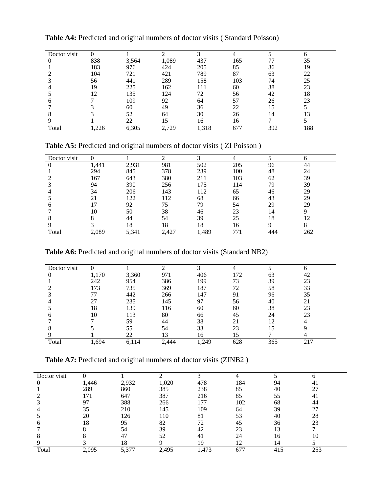| Doctor visit |      |       |       |       |     |     |     |
|--------------|------|-------|-------|-------|-----|-----|-----|
|              | 838  | 3,564 | 1,089 | 437   | 165 | 77  | 35  |
|              | 183  | 976   | 424   | 205   | 85  | 36  | 19  |
|              | 104  | 721   | 421   | 789   | 87  | 63  | 22  |
|              | 56   | 441   | 289   | 158   | 103 | 74  | 25  |
|              | 19   | 225   | 162   | 111   | 60  | 38  | 23  |
|              | 12   | 135   | 124   | 72    | 56  | 42  | 18  |
|              |      | 109   | 92    | 64    | 57  | 26  | 23  |
|              |      | 60    | 49    | 36    | 22  | l5  |     |
|              |      | 52    | 64    | 30    | 26  | 14  |     |
|              |      | 22    |       | 16    | 16  |     |     |
| Total        | .226 | 6,305 | 2,729 | 1,318 | 677 | 392 | 188 |

**Table A4:** Predicted and original numbers of doctor visits ( Standard Poisson)

**Table A5:** Predicted and original numbers of doctor visits ( ZI Poisson )

| Doctor visit |       |       |      |       |     |    |     |
|--------------|-------|-------|------|-------|-----|----|-----|
|              | 1,441 | 2,931 | 981  | 502   | 205 | 96 |     |
|              | 294   | 845   | 378  | 239   | 100 | 48 | 24  |
|              | 167   | 643   | 380  | 211   | 103 | 62 | 39  |
|              | 94    | 390   | 256  | l 75  | 114 | 79 | 39  |
|              | 34    | 206   | 143  | . 12  | 65  | 46 | 29  |
|              | 21    | 122   | 12   | 68    | 66  | 43 | 29  |
|              |       | 92    | 75   | 79    | 54  | 29 | 29  |
|              | 10    | 50    | 38   | 46    | 23  |    |     |
|              |       | 44    | 54   | 39    | 25  | 18 |     |
|              |       | 18    | 18   | 18    | Iб  |    |     |
| Total        | 2,089 | 5,341 | .427 | 1,489 |     |    | 262 |

**Table A6:** Predicted and original numbers of doctor visits (Standard NB2)

| Doctor visit |       |           |       |      |     |     | n   |
|--------------|-------|-----------|-------|------|-----|-----|-----|
|              | 1,170 | 3,360     | 971   | 406  | 172 | 63  | 42  |
|              | 242   | 954       | 386   | 199  | 73  | 39  | 23  |
|              | 173   | 735       | 369   | 187  | 72  | 58  | 33  |
|              | 77    | 442       | 266   | 147  | 91  | 96  | 35  |
|              | 27    | 235       | 145   | 97   | 56  | 40  | 21  |
|              | 18    | 139       | 116   | 60   | 60  | 38  | 23  |
|              | 10    | 113       | 80    | 66   | 45  | 24  | 23  |
|              |       | 59        | 44    | 38   | 21  | 12  |     |
|              |       | 55        | 54    | 33   | 23  | 15  |     |
|              |       | 22        | 13    | 16   | 15  |     |     |
| Total        | 1,694 | 14<br>6,1 | 2.444 | ,249 | 628 | 365 | 217 |

**Table A7:** Predicted and original numbers of doctor visits (ZINB2 )

| Doctor visit |       |       |       |       |     |     |     |
|--------------|-------|-------|-------|-------|-----|-----|-----|
|              | 1,446 | 2,932 | 1,020 | 478   | 184 | 94  |     |
|              | 289   | 860   | 385   | 238   | 85  | 40  |     |
|              | 171   | 647   | 387   | 216   | 85  | 55  | 41  |
|              | 97    | 388   | 266   | 177   | 102 | 68  | 44  |
|              | 35    | 210   | 145   | 109   | 64  | 39  | 27  |
|              | 20    | 126   | 110   | 81    | 53  | 40  | 28  |
|              | 18    | 95    | 82    |       | 45  | 36  | 23  |
|              |       | 54    | 39    |       | 23  | l3  |     |
|              |       | 47    | 52    |       | 24  | 16  | 10  |
|              |       | 18    |       | 19    | ר ו | 14  |     |
| Total        | 2,095 | 5,377 | 2,495 | 1,473 | 677 | 415 | 253 |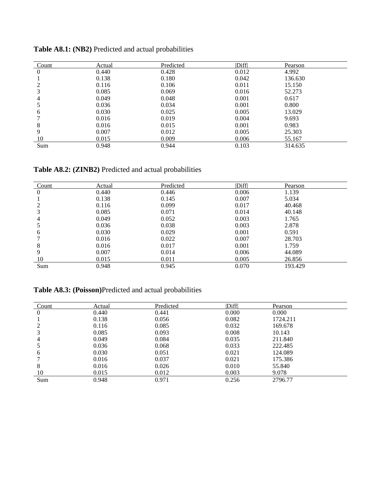| Count    | Actual | Predicted | Diff  | Pearson |  |
|----------|--------|-----------|-------|---------|--|
| $\theta$ | 0.440  | 0.428     | 0.012 | 4.992   |  |
|          | 0.138  | 0.180     | 0.042 | 136.630 |  |
|          | 0.116  | 0.106     | 0.011 | 15.150  |  |
| 3        | 0.085  | 0.069     | 0.016 | 52.273  |  |
| 4        | 0.049  | 0.048     | 0.001 | 0.617   |  |
|          | 0.036  | 0.034     | 0.001 | 0.800   |  |
| 6        | 0.030  | 0.025     | 0.005 | 13.029  |  |
|          | 0.016  | 0.019     | 0.004 | 9.693   |  |
| 8        | 0.016  | 0.015     | 0.001 | 0.983   |  |
| 9        | 0.007  | 0.012     | 0.005 | 25.303  |  |
| 10       | 0.015  | 0.009     | 0.006 | 55.167  |  |
| Sum      | 0.948  | 0.944     | 0.103 | 314.635 |  |

**Table A8.1: (NB2)** Predicted and actual probabilities

**Table A8.2: (ZINB2)** Predicted and actual probabilities

| Count          | Actual | Predicted | Diff  | Pearson |
|----------------|--------|-----------|-------|---------|
| $\overline{0}$ | 0.440  | 0.446     | 0.006 | 1.139   |
|                | 0.138  | 0.145     | 0.007 | 5.034   |
|                | 0.116  | 0.099     | 0.017 | 40.468  |
|                | 0.085  | 0.071     | 0.014 | 40.148  |
| 4              | 0.049  | 0.052     | 0.003 | 1.765   |
|                | 0.036  | 0.038     | 0.003 | 2.878   |
| 6              | 0.030  | 0.029     | 0.001 | 0.591   |
|                | 0.016  | 0.022     | 0.007 | 28.703  |
| 8              | 0.016  | 0.017     | 0.001 | 1.759   |
| 9              | 0.007  | 0.014     | 0.006 | 44.089  |
| 10             | 0.015  | 0.011     | 0.005 | 26.856  |
| Sum            | 0.948  | 0.945     | 0.070 | 193.429 |

**Table A8.3: (Poisson)**Predicted and actual probabilities

| Count | Actual | Predicted | Diff  | Pearson  |
|-------|--------|-----------|-------|----------|
| 0     | 0.440  | 0.441     | 0.000 | 0.000    |
|       | 0.138  | 0.056     | 0.082 | 1724.211 |
| 2     | 0.116  | 0.085     | 0.032 | 169.678  |
|       | 0.085  | 0.093     | 0.008 | 10.143   |
| 4     | 0.049  | 0.084     | 0.035 | 211.840  |
|       | 0.036  | 0.068     | 0.033 | 222.485  |
| 6     | 0.030  | 0.051     | 0.021 | 124.089  |
|       | 0.016  | 0.037     | 0.021 | 175.386  |
| 8     | 0.016  | 0.026     | 0.010 | 55.840   |
| 10    | 0.015  | 0.012     | 0.003 | 9.078    |
| Sum   | 0.948  | 0.971     | 0.256 | 2796.77  |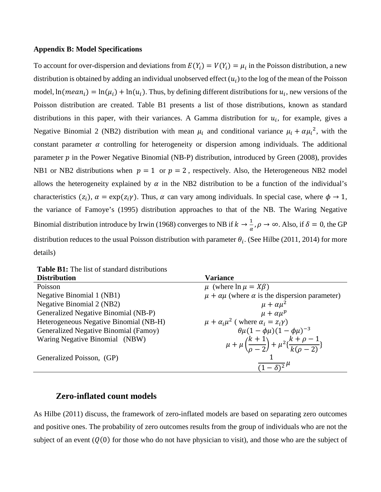#### **Appendix B: Model Specifications**

To account for over-dispersion and deviations from  $E(Y_i) = V(Y_i) = \mu_i$  in the Poisson distribution, a new distribution is obtained by adding an individual unobserved effect  $(u_i)$  to the log of the mean of the Poisson model,  $ln(mean_i) = ln(\mu_i) + ln(u_i)$ . Thus, by defining different distributions for  $u_i$ , new versions of the Poisson distribution are created. Table B1 presents a list of those distributions, known as standard distributions in this paper, with their variances. A Gamma distribution for  $u_i$ , for example, gives a Negative Binomial 2 (NB2) distribution with mean  $\mu_i$  and conditional variance  $\mu_i + \alpha \mu_i^2$ , with the constant parameter  $\alpha$  controlling for heterogeneity or dispersion among individuals. The additional parameter  $p$  in the Power Negative Binomial (NB-P) distribution, introduced by Green (2008), provides NB1 or NB2 distributions when  $p = 1$  or  $p = 2$ , respectively. Also, the Heterogeneous NB2 model allows the heterogeneity explained by  $\alpha$  in the NB2 distribution to be a function of the individual's characteristics  $(z_i)$ ,  $\alpha = \exp(z_i \gamma)$ . Thus,  $\alpha$  can vary among individuals. In special case, where  $\phi \to 1$ , the variance of Famoye's (1995) distribution approaches to that of the NB. The Waring Negative Binomial distribution introduce by Irwin (1968) converges to NB if  $k \to \frac{1}{\alpha}, \rho \to \infty$ . Also, if  $\delta = 0$ , the GP distribution reduces to the usual Poisson distribution with parameter  $\theta_i$ . (See Hilbe (2011, 2014) for more details)

**Table B1:** The list of standard distributions

| <b>Distribution</b>                    | <b>Variance</b>                                                                                       |
|----------------------------------------|-------------------------------------------------------------------------------------------------------|
| Poisson                                | $\mu$ (where $\ln \mu = X\beta$ )                                                                     |
| Negative Binomial 1 (NB1)              | $\mu + \alpha \mu$ (where $\alpha$ is the dispersion parameter)                                       |
| Negative Binomial 2 (NB2)              | $\mu + \alpha \mu^2$                                                                                  |
| Generalized Negative Binomial (NB-P)   | $\mu + \alpha \mu^p$                                                                                  |
| Heterogeneous Negative Binomial (NB-H) | $\mu + \alpha_i \mu^2$ (where $\alpha_i = z_i \gamma$ )                                               |
| Generalized Negative Binomial (Famoy)  | $\theta \mu (1 - \phi \mu) (1 - \phi \mu)^{-3}$                                                       |
| Waring Negative Binomial (NBW)         | $\mu + \mu \left( \frac{k+1}{\rho - 2} \right) + \mu^2 \left\{ \frac{k+\rho-1}{k(\rho - 2)} \right\}$ |
| Generalized Poisson, (GP)              | $(1-\delta)^2$ <sup><math>\mu</math></sup>                                                            |
|                                        |                                                                                                       |

# **Zero-inflated count models**

As Hilbe (2011) discuss, the framework of zero-inflated models are based on separating zero outcomes and positive ones. The probability of zero outcomes results from the group of individuals who are not the subject of an event  $(Q(0))$  for those who do not have physician to visit), and those who are the subject of